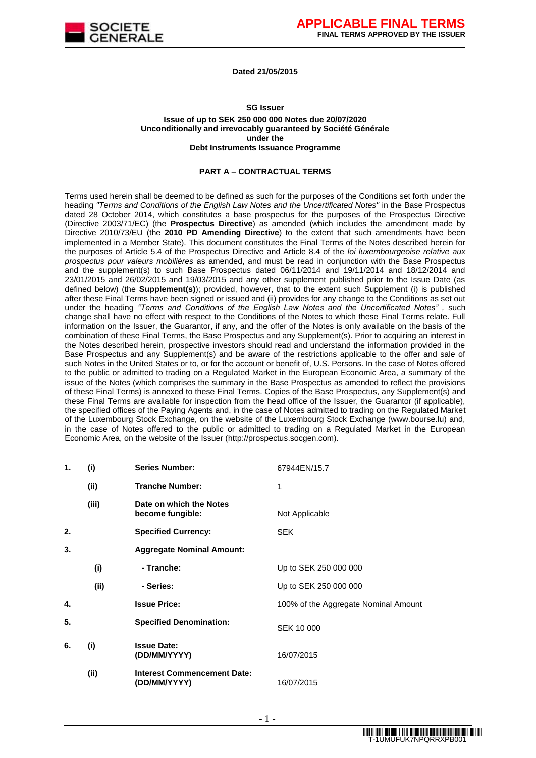

#### **Dated 21/05/2015**

#### **SG Issuer**

#### **Issue of up to SEK 250 000 000 Notes due 20/07/2020 Unconditionally and irrevocably guaranteed by Société Générale under the Debt Instruments Issuance Programme**

#### **PART A – CONTRACTUAL TERMS**

Terms used herein shall be deemed to be defined as such for the purposes of the Conditions set forth under the heading *"Terms and Conditions of the English Law Notes and the Uncertificated Notes"* in the Base Prospectus dated 28 October 2014, which constitutes a base prospectus for the purposes of the Prospectus Directive (Directive 2003/71/EC) (the **Prospectus Directive**) as amended (which includes the amendment made by Directive 2010/73/EU (the **2010 PD Amending Directive**) to the extent that such amendments have been implemented in a Member State). This document constitutes the Final Terms of the Notes described herein for the purposes of Article 5.4 of the Prospectus Directive and Article 8.4 of the *loi luxembourgeoise relative aux prospectus pour valeurs mobilières* as amended, and must be read in conjunction with the Base Prospectus and the supplement(s) to such Base Prospectus dated 06/11/2014 and 19/11/2014 and 18/12/2014 and 23/01/2015 and 26/02/2015 and 19/03/2015 and any other supplement published prior to the Issue Date (as defined below) (the **Supplement(s)**); provided, however, that to the extent such Supplement (i) is published after these Final Terms have been signed or issued and (ii) provides for any change to the Conditions as set out under the heading *"Terms and Conditions of the English Law Notes and the Uncertificated Notes" ,* such change shall have no effect with respect to the Conditions of the Notes to which these Final Terms relate. Full information on the Issuer, the Guarantor, if any, and the offer of the Notes is only available on the basis of the combination of these Final Terms, the Base Prospectus and any Supplement(s). Prior to acquiring an interest in the Notes described herein, prospective investors should read and understand the information provided in the Base Prospectus and any Supplement(s) and be aware of the restrictions applicable to the offer and sale of such Notes in the United States or to, or for the account or benefit of, U.S. Persons. In the case of Notes offered to the public or admitted to trading on a Regulated Market in the European Economic Area, a summary of the issue of the Notes (which comprises the summary in the Base Prospectus as amended to reflect the provisions of these Final Terms) is annexed to these Final Terms. Copies of the Base Prospectus, any Supplement(s) and these Final Terms are available for inspection from the head office of the Issuer, the Guarantor (if applicable), the specified offices of the Paying Agents and, in the case of Notes admitted to trading on the Regulated Market of the Luxembourg Stock Exchange, on the website of the Luxembourg Stock Exchange (www.bourse.lu) and, in the case of Notes offered to the public or admitted to trading on a Regulated Market in the European Economic Area, on the website of the Issuer (http://prospectus.socgen.com).

| 1. | (i)   | <b>Series Number:</b>                              | 67944EN/15.7                         |
|----|-------|----------------------------------------------------|--------------------------------------|
|    | (ii)  | <b>Tranche Number:</b>                             | 1                                    |
|    | (iii) | Date on which the Notes<br>become fungible:        | Not Applicable                       |
| 2. |       | <b>Specified Currency:</b>                         | <b>SEK</b>                           |
| 3. |       | <b>Aggregate Nominal Amount:</b>                   |                                      |
|    | (i)   | - Tranche:                                         | Up to SEK 250 000 000                |
|    | (ii)  | - Series:                                          | Up to SEK 250 000 000                |
| 4. |       | <b>Issue Price:</b>                                | 100% of the Aggregate Nominal Amount |
| 5. |       | <b>Specified Denomination:</b>                     | SEK 10 000                           |
| 6. | (i)   | <b>Issue Date:</b><br>(DD/MM/YYYY)                 | 16/07/2015                           |
|    | (ii)  | <b>Interest Commencement Date:</b><br>(DD/MM/YYYY) | 16/07/2015                           |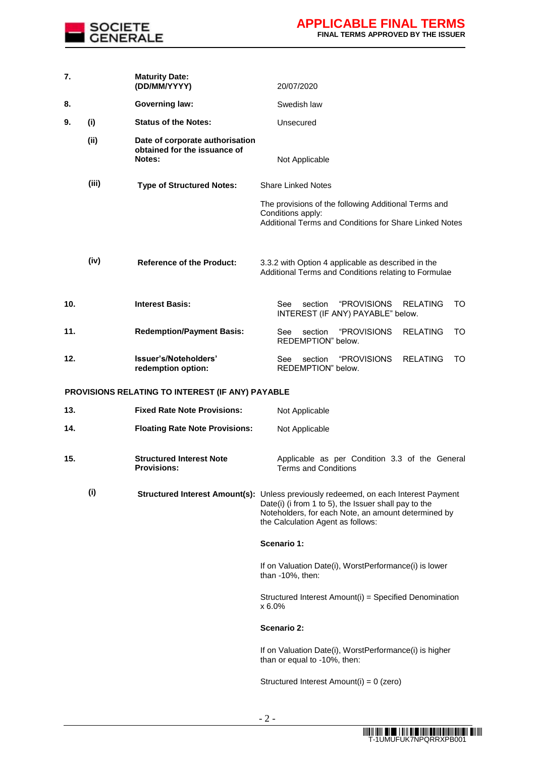

| 7.  |       | <b>Maturity Date:</b><br>(DD/MM/YYYY)                                     | 20/07/2020                                                                                                                                                                                                                              |
|-----|-------|---------------------------------------------------------------------------|-----------------------------------------------------------------------------------------------------------------------------------------------------------------------------------------------------------------------------------------|
| 8.  |       | <b>Governing law:</b>                                                     | Swedish law                                                                                                                                                                                                                             |
| 9.  | (i)   | <b>Status of the Notes:</b>                                               | Unsecured                                                                                                                                                                                                                               |
|     | (ii)  | Date of corporate authorisation<br>obtained for the issuance of<br>Notes: | Not Applicable                                                                                                                                                                                                                          |
|     | (iii) | <b>Type of Structured Notes:</b>                                          | <b>Share Linked Notes</b>                                                                                                                                                                                                               |
|     |       |                                                                           | The provisions of the following Additional Terms and<br>Conditions apply:<br>Additional Terms and Conditions for Share Linked Notes                                                                                                     |
|     | (iv)  | <b>Reference of the Product:</b>                                          | 3.3.2 with Option 4 applicable as described in the<br>Additional Terms and Conditions relating to Formulae                                                                                                                              |
| 10. |       | <b>Interest Basis:</b>                                                    | "PROVISIONS<br>section<br><b>RELATING</b><br>TO<br>See<br>INTEREST (IF ANY) PAYABLE" below.                                                                                                                                             |
| 11. |       | <b>Redemption/Payment Basis:</b>                                          | See<br>section<br><i><b>"PROVISIONS</b></i><br><b>RELATING</b><br>TO<br>REDEMPTION" below.                                                                                                                                              |
| 12. |       | Issuer's/Noteholders'<br>redemption option:                               | section<br><i><b>"PROVISIONS</b></i><br><b>RELATING</b><br>TO<br>See<br>REDEMPTION" below.                                                                                                                                              |
|     |       | PROVISIONS RELATING TO INTEREST (IF ANY) PAYABLE                          |                                                                                                                                                                                                                                         |
| 13. |       | <b>Fixed Rate Note Provisions:</b>                                        | Not Applicable                                                                                                                                                                                                                          |
| 14. |       | <b>Floating Rate Note Provisions:</b>                                     | Not Applicable                                                                                                                                                                                                                          |
| 15. |       | <b>Structured Interest Note</b><br><b>Provisions:</b>                     | Applicable as per Condition 3.3 of the General<br><b>Terms and Conditions</b>                                                                                                                                                           |
|     | (i)   |                                                                           | Structured Interest Amount(s): Unless previously redeemed, on each Interest Payment<br>Date(i) (i from 1 to 5), the Issuer shall pay to the<br>Noteholders, for each Note, an amount determined by<br>the Calculation Agent as follows: |
|     |       |                                                                           | Scenario 1:                                                                                                                                                                                                                             |
|     |       |                                                                           | If on Valuation Date(i), WorstPerformance(i) is lower<br>than -10%, then:                                                                                                                                                               |
|     |       |                                                                           | Structured Interest Amount(i) = Specified Denomination<br>x 6.0%                                                                                                                                                                        |
|     |       |                                                                           | Scenario 2:                                                                                                                                                                                                                             |
|     |       |                                                                           | If on Valuation Date(i), WorstPerformance(i) is higher<br>than or equal to -10%, then:                                                                                                                                                  |

Structured Interest Amount(i) = 0 (zero)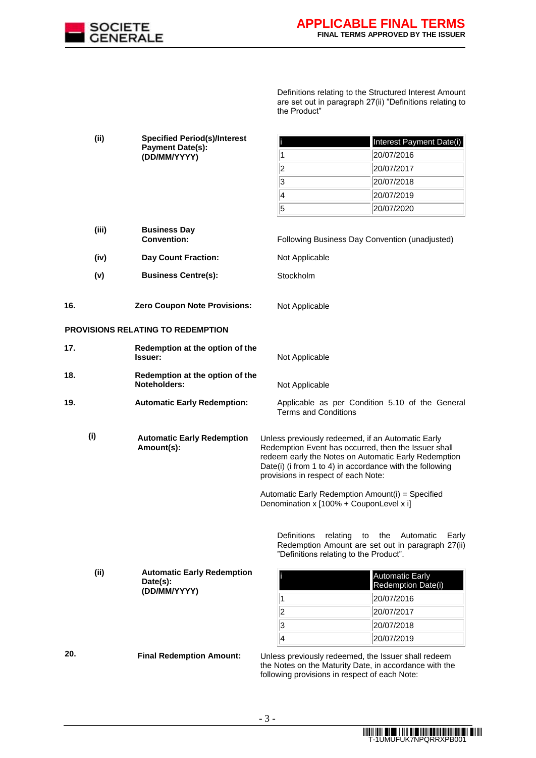

Definitions relating to the Structured Interest Amount are set out in paragraph 27(ii) "Definitions relating to the Product"

|     | (ii)  | <b>Specified Period(s)/Interest</b>                           |                                     | Interest Payment Date(i)                                                                                                                                                                                                      |
|-----|-------|---------------------------------------------------------------|-------------------------------------|-------------------------------------------------------------------------------------------------------------------------------------------------------------------------------------------------------------------------------|
|     |       | <b>Payment Date(s):</b><br>(DD/MM/YYYY)                       | 1                                   | 20/07/2016                                                                                                                                                                                                                    |
|     |       |                                                               | $\overline{\mathbf{2}}$             | 20/07/2017                                                                                                                                                                                                                    |
|     |       |                                                               | 3                                   | 20/07/2018                                                                                                                                                                                                                    |
|     |       |                                                               | 4                                   | 20/07/2019                                                                                                                                                                                                                    |
|     |       |                                                               | 5                                   | 20/07/2020                                                                                                                                                                                                                    |
|     | (iii) | <b>Business Day</b><br><b>Convention:</b>                     |                                     | Following Business Day Convention (unadjusted)                                                                                                                                                                                |
|     | (iv)  | <b>Day Count Fraction:</b>                                    | Not Applicable                      |                                                                                                                                                                                                                               |
|     | (v)   | <b>Business Centre(s):</b>                                    | Stockholm                           |                                                                                                                                                                                                                               |
| 16. |       | <b>Zero Coupon Note Provisions:</b>                           | Not Applicable                      |                                                                                                                                                                                                                               |
|     |       | <b>PROVISIONS RELATING TO REDEMPTION</b>                      |                                     |                                                                                                                                                                                                                               |
| 17. |       | Redemption at the option of the<br>Issuer:                    | Not Applicable                      |                                                                                                                                                                                                                               |
| 18. |       | Redemption at the option of the<br>Noteholders:               | Not Applicable                      |                                                                                                                                                                                                                               |
| 19. |       | <b>Automatic Early Redemption:</b>                            | <b>Terms and Conditions</b>         | Applicable as per Condition 5.10 of the General                                                                                                                                                                               |
| (i) |       | <b>Automatic Early Redemption</b><br>Amount(s):               | provisions in respect of each Note: | Unless previously redeemed, if an Automatic Early<br>Redemption Event has occurred, then the Issuer shall<br>redeem early the Notes on Automatic Early Redemption<br>Date(i) (i from 1 to 4) in accordance with the following |
|     |       |                                                               |                                     | Automatic Early Redemption Amount(i) = Specified<br>Denomination x [100% + CouponLevel x i]                                                                                                                                   |
|     |       |                                                               | Definitions                         | relating<br>Automatic<br>Early<br>the<br>to<br>Redemption Amount are set out in paragraph 27(ii)<br>"Definitions relating to the Product".                                                                                    |
|     | (ii)  | <b>Automatic Early Redemption</b><br>Date(s):<br>(DD/MM/YYYY) |                                     | Automatic Early<br>Redemption Date(i)                                                                                                                                                                                         |
|     |       |                                                               | 1                                   | 20/07/2016                                                                                                                                                                                                                    |
|     |       |                                                               | $\overline{c}$                      | 20/07/2017                                                                                                                                                                                                                    |
|     |       |                                                               | 3                                   | 20/07/2018                                                                                                                                                                                                                    |
|     |       |                                                               | 4                                   | 20/07/2019                                                                                                                                                                                                                    |
| 20. |       | <b>Final Redemption Amount:</b>                               |                                     | Unless previously redeemed, the Issuer shall redeem<br>the Notes on the Maturity Date, in accordance with the<br>following provisions in respect of each Note:                                                                |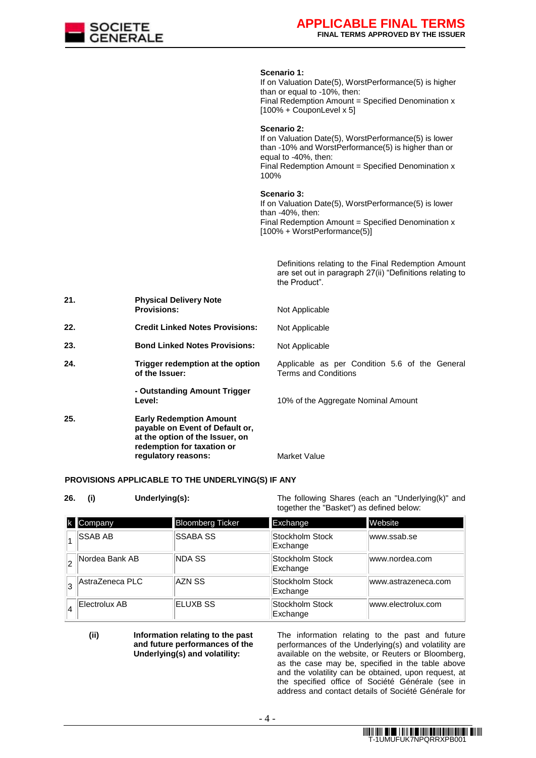

#### **Scenario 1:**

If on Valuation Date(5), WorstPerformance(5) is higher than or equal to -10%, then: Final Redemption Amount = Specified Denomination x  $[100\% + CouponLevel \times 5]$ 

#### **Scenario 2:**

If on Valuation Date(5), WorstPerformance(5) is lower than -10% and WorstPerformance(5) is higher than or equal to -40%, then: Final Redemption Amount = Specified Denomination x 100%

#### **Scenario 3:**

If on Valuation Date(5), WorstPerformance(5) is lower than -40%, then: Final Redemption Amount = Specified Denomination x [100% + WorstPerformance(5)]

Definitions relating to the Final Redemption Amount are set out in paragraph 27(ii) "Definitions relating to the Product".

**21. Physical Delivery Note Not Applicable 22. Credit Linked Notes Provisions:** Not Applicable **23. Bond Linked Notes Provisions:** Not Applicable **24. Trigger redemption at the option of the Issuer:** Applicable as per Condition 5.6 of the General Terms and Conditions **- Outstanding Amount Trigger**  Level: **Level:** 10% of the Aggregate Nominal Amount **25. Early Redemption Amount payable on Event of Default or, at the option of the Issuer, on redemption for taxation or regulatory reasons:** Market Value

#### **PROVISIONS APPLICABLE TO THE UNDERLYING(S) IF ANY**

**26. (i) Underlying(s):** The following Shares (each an "Underlying(k)" and

| Company         | <b>Bloomberg Ticker</b> | Exchange                    | <b>Website</b>      |
|-----------------|-------------------------|-----------------------------|---------------------|
| <b>SSAB AB</b>  | <b>SSABA SS</b>         | Stockholm Stock<br>Exchange | www.ssab.se         |
| Nordea Bank AB  | NDA SS                  | Stockholm Stock<br>Exchange | www.nordea.com      |
| AstraZeneca PLC | <b>AZN SS</b>           | Stockholm Stock<br>Exchange | www.astrazeneca.com |
| Electrolux AB   | <b>ELUXB SS</b>         | Stockholm Stock<br>Exchange | www.electrolux.com  |

**(ii) Information relating to the past and future performances of the Underlying(s) and volatility:**

together the "Basket") as defined below:

The information relating to the past and future performances of the Underlying(s) and volatility are available on the website, or Reuters or Bloomberg, as the case may be, specified in the table above and the volatility can be obtained, upon request, at the specified office of Société Générale (see in address and contact details of Société Générale for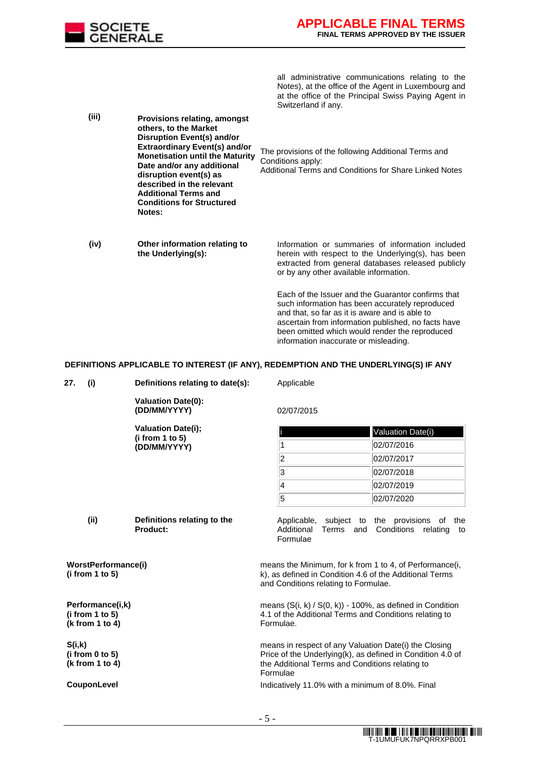

all administrative communications relating to the Notes), at the office of the Agent in Luxembourg and at the office of the Principal Swiss Paying Agent in Switzerland if any.

- **(iii) Provisions relating, amongst others, to the Market Disruption Event(s) and/or Extraordinary Event(s) and/or Monetisation until the Maturity Date and/or any additional disruption event(s) as described in the relevant Additional Terms and Conditions for Structured Notes:**  The provisions of the following Additional Terms and Conditions apply: Additional Terms and Conditions for Share Linked Notes
	- **(iv) Other information relating to the Underlying(s):** Information or summaries of information included herein with respect to the Underlying(s), has been extracted from general databases released publicly or by any other available information.

Each of the Issuer and the Guarantor confirms that such information has been accurately reproduced and that, so far as it is aware and is able to ascertain from information published, no facts have been omitted which would render the reproduced information inaccurate or misleading.

#### **DEFINITIONS APPLICABLE TO INTEREST (IF ANY), REDEMPTION AND THE UNDERLYING(S) IF ANY**

| 27.                                                    | (i)  | Definitions relating to date(s):               | Applicable                                                                                                                                                                         |                                                             |
|--------------------------------------------------------|------|------------------------------------------------|------------------------------------------------------------------------------------------------------------------------------------------------------------------------------------|-------------------------------------------------------------|
|                                                        |      | <b>Valuation Date(0):</b><br>(DD/MM/YYYY)      | 02/07/2015                                                                                                                                                                         |                                                             |
|                                                        |      | <b>Valuation Date(i);</b>                      |                                                                                                                                                                                    | Valuation Date(i)                                           |
|                                                        |      | (i from 1 to 5)<br>(DD/MM/YYYY)                | 1                                                                                                                                                                                  | 02/07/2016                                                  |
|                                                        |      |                                                | $\overline{\mathbf{c}}$                                                                                                                                                            | 02/07/2017                                                  |
|                                                        |      |                                                | 3                                                                                                                                                                                  | 02/07/2018                                                  |
|                                                        |      |                                                | 4                                                                                                                                                                                  | 02/07/2019                                                  |
|                                                        |      |                                                | 5                                                                                                                                                                                  | 02/07/2020                                                  |
|                                                        | (ii) | Definitions relating to the<br><b>Product:</b> | subject to<br>Applicable,<br>Additional<br>Terms<br>and<br>Formulae                                                                                                                | the provisions<br>of<br>the<br>Conditions<br>relating<br>to |
| WorstPerformance(i)<br>(i from 1 to 5)                 |      |                                                | means the Minimum, for k from 1 to 4, of Performance(i,<br>k), as defined in Condition 4.6 of the Additional Terms<br>and Conditions relating to Formulae.                         |                                                             |
| Performance(i,k)<br>(i from 1 to 5)<br>(k from 1 to 4) |      |                                                | means $(S(i, k) / S(0, k)) - 100\%$ , as defined in Condition<br>4.1 of the Additional Terms and Conditions relating to<br>Formulae.                                               |                                                             |
| S(i,k)<br>(i from $0$ to $5$ )<br>( $k$ from 1 to 4)   |      |                                                | means in respect of any Valuation Date(i) the Closing<br>Price of the Underlying(k), as defined in Condition 4.0 of<br>the Additional Terms and Conditions relating to<br>Formulae |                                                             |
| CouponLevel                                            |      |                                                | Indicatively 11.0% with a minimum of 8.0%. Final                                                                                                                                   |                                                             |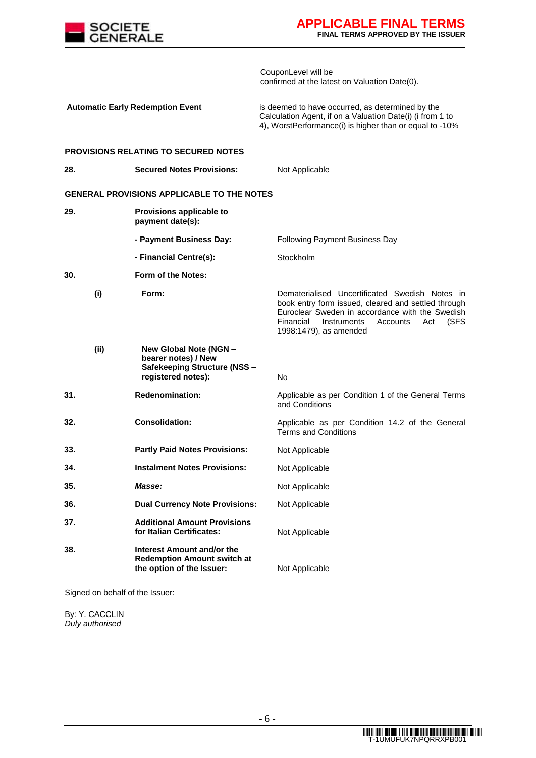

book entry form issued, cleared and settled through Euroclear Sweden in accordance with the Swedish Financial Instruments Accounts Act (SFS

1998:1479), as amended

and Conditions

Terms and Conditions

CouponLevel will be confirmed at the latest on Valuation Date(0).

|     | <b>Automatic Early Redemption Event</b>           | is deemed to have occurred, as determined by the<br>Calculation Agent, if on a Valuation Date(i) (i from 1 to<br>4), WorstPerformance(i) is higher than or equal to -10% |
|-----|---------------------------------------------------|--------------------------------------------------------------------------------------------------------------------------------------------------------------------------|
|     | <b>PROVISIONS RELATING TO SECURED NOTES</b>       |                                                                                                                                                                          |
| 28. | <b>Secured Notes Provisions:</b>                  | Not Applicable                                                                                                                                                           |
|     | <b>GENERAL PROVISIONS APPLICABLE TO THE NOTES</b> |                                                                                                                                                                          |
| 29. | Provisions applicable to<br>payment date(s):      |                                                                                                                                                                          |
|     | - Payment Business Day:                           | <b>Following Payment Business Day</b>                                                                                                                                    |
|     | - Financial Centre(s):                            | Stockholm                                                                                                                                                                |
| 30. | Form of the Notes:                                |                                                                                                                                                                          |

**(i) Form:** Dematerialised Uncertificated Swedish Notes in

| (ii) | New Global Note (NGN -       |    |
|------|------------------------------|----|
|      | bearer notes) / New          |    |
|      | Safekeeping Structure (NSS - |    |
|      | registered notes):           | Nο |

- **31. Redenomination:** Applicable as per Condition 1 of the General Terms
- **32. Consolidation:** Applicable as per Condition 14.2 of the General
- **33. Partly Paid Notes Provisions:** Not Applicable
- **34.** Instalment Notes Provisions: Not Applicable
- **35.** *Masse: Masse:* Not Applicable **36. Dual Currency Note Provisions:** Not Applicable
- **37. Additional Amount Provisions**  for Italian Certificates: Not Applicable **38. Interest Amount and/or the Redemption Amount switch at**

**the option of the Issuer:** Not Applicable

Signed on behalf of the Issuer:

By: Y. CACCLIN *Duly authorised*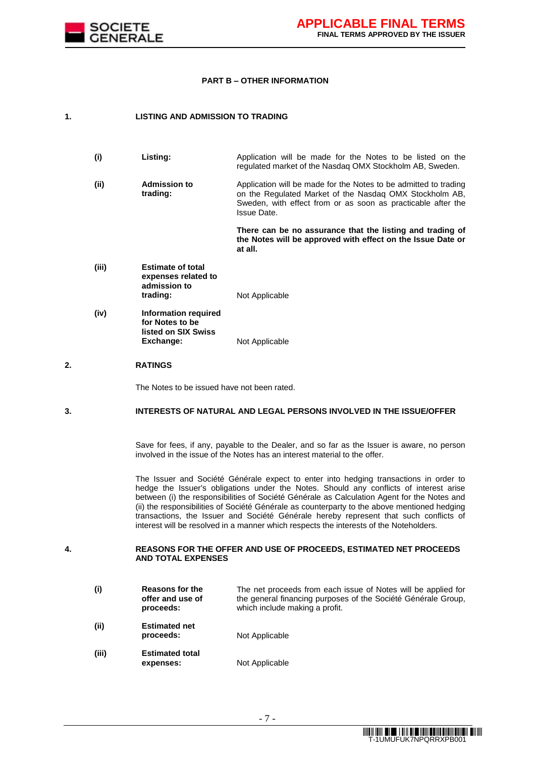

#### **PART B – OTHER INFORMATION**

#### **1. LISTING AND ADMISSION TO TRADING**

| (i) | Listing: | Application will be made for the Notes to be listed on the |
|-----|----------|------------------------------------------------------------|
|     |          | regulated market of the Nasdag OMX Stockholm AB, Sweden.   |
|     |          |                                                            |

**(ii) Admission to trading:** Application will be made for the Notes to be admitted to trading on the Regulated Market of the Nasdaq OMX Stockholm AB, Sweden, with effect from or as soon as practicable after the Issue Date.

> **There can be no assurance that the listing and trading of the Notes will be approved with effect on the Issue Date or at all.**

- **(iii) Estimate of total expenses related to admission to Not Applicable**
- **(iv) Information required for Notes to be listed on SIX Swiss Not Applicable**

#### **2. RATINGS**

The Notes to be issued have not been rated.

### **3. INTERESTS OF NATURAL AND LEGAL PERSONS INVOLVED IN THE ISSUE/OFFER**

Save for fees, if any, payable to the Dealer, and so far as the Issuer is aware, no person involved in the issue of the Notes has an interest material to the offer.

The Issuer and Société Générale expect to enter into hedging transactions in order to hedge the Issuer's obligations under the Notes. Should any conflicts of interest arise between (i) the responsibilities of Société Générale as Calculation Agent for the Notes and (ii) the responsibilities of Société Générale as counterparty to the above mentioned hedging transactions, the Issuer and Société Générale hereby represent that such conflicts of interest will be resolved in a manner which respects the interests of the Noteholders.

#### **4. REASONS FOR THE OFFER AND USE OF PROCEEDS, ESTIMATED NET PROCEEDS AND TOTAL EXPENSES**

| (i)   | <b>Reasons for the</b><br>offer and use of<br>proceeds: | The net proceeds from each issue of Notes will be applied for<br>the general financing purposes of the Société Générale Group,<br>which include making a profit. |
|-------|---------------------------------------------------------|------------------------------------------------------------------------------------------------------------------------------------------------------------------|
| (ii)  | <b>Estimated net</b><br>proceeds:                       | Not Applicable                                                                                                                                                   |
| (iii) | <b>Estimated total</b><br>expenses:                     | Not Applicable                                                                                                                                                   |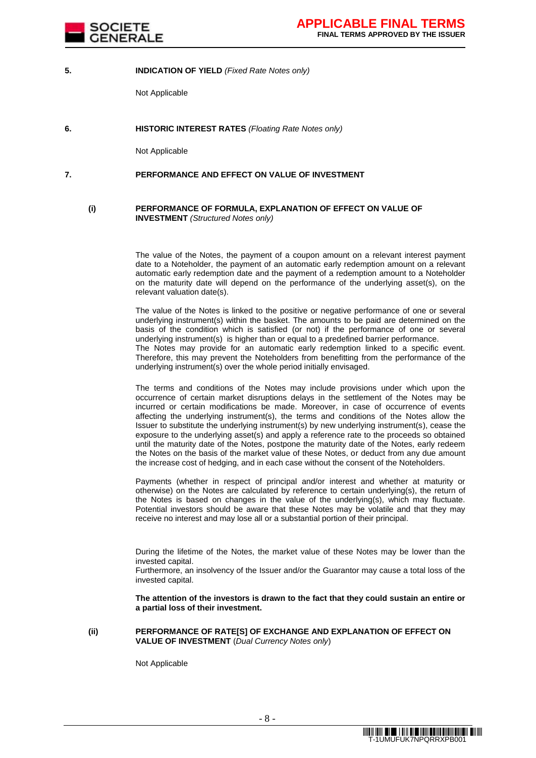

#### **5. INDICATION OF YIELD** *(Fixed Rate Notes only)*

Not Applicable

**6. HISTORIC INTEREST RATES** *(Floating Rate Notes only)*

Not Applicable

#### **7. PERFORMANCE AND EFFECT ON VALUE OF INVESTMENT**

#### **(i) PERFORMANCE OF FORMULA, EXPLANATION OF EFFECT ON VALUE OF INVESTMENT** *(Structured Notes only)*

The value of the Notes, the payment of a coupon amount on a relevant interest payment date to a Noteholder, the payment of an automatic early redemption amount on a relevant automatic early redemption date and the payment of a redemption amount to a Noteholder on the maturity date will depend on the performance of the underlying asset(s), on the relevant valuation date(s).

The value of the Notes is linked to the positive or negative performance of one or several underlying instrument(s) within the basket. The amounts to be paid are determined on the basis of the condition which is satisfied (or not) if the performance of one or several underlying instrument(s) is higher than or equal to a predefined barrier performance. The Notes may provide for an automatic early redemption linked to a specific event.

Therefore, this may prevent the Noteholders from benefitting from the performance of the underlying instrument(s) over the whole period initially envisaged.

The terms and conditions of the Notes may include provisions under which upon the occurrence of certain market disruptions delays in the settlement of the Notes may be incurred or certain modifications be made. Moreover, in case of occurrence of events affecting the underlying instrument(s), the terms and conditions of the Notes allow the Issuer to substitute the underlying instrument(s) by new underlying instrument(s), cease the exposure to the underlying asset(s) and apply a reference rate to the proceeds so obtained until the maturity date of the Notes, postpone the maturity date of the Notes, early redeem the Notes on the basis of the market value of these Notes, or deduct from any due amount the increase cost of hedging, and in each case without the consent of the Noteholders.

Payments (whether in respect of principal and/or interest and whether at maturity or otherwise) on the Notes are calculated by reference to certain underlying(s), the return of the Notes is based on changes in the value of the underlying(s), which may fluctuate. Potential investors should be aware that these Notes may be volatile and that they may receive no interest and may lose all or a substantial portion of their principal.

During the lifetime of the Notes, the market value of these Notes may be lower than the invested capital.

Furthermore, an insolvency of the Issuer and/or the Guarantor may cause a total loss of the invested capital.

**The attention of the investors is drawn to the fact that they could sustain an entire or a partial loss of their investment.**

**(ii) PERFORMANCE OF RATE[S] OF EXCHANGE AND EXPLANATION OF EFFECT ON VALUE OF INVESTMENT** (*Dual Currency Notes only*)

Not Applicable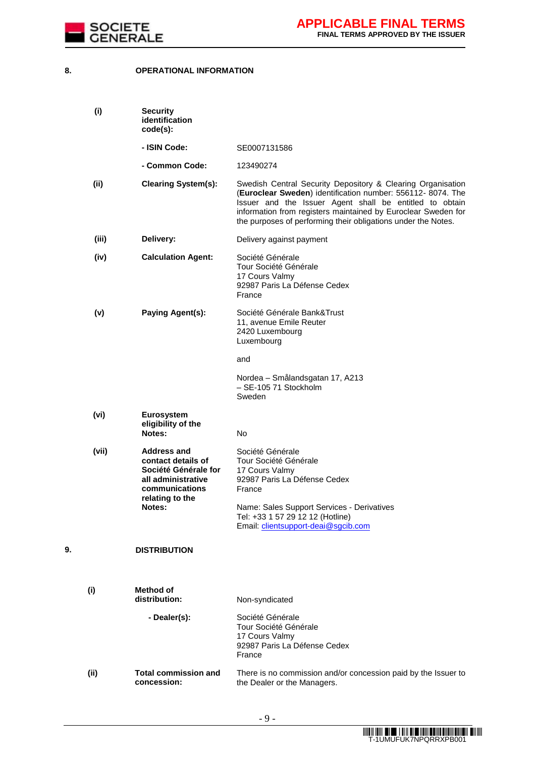

### **8. OPERATIONAL INFORMATION**

|    | (i)   | <b>Security</b><br>identification<br>code(s):                                                                                  |                                                                                                                                                                                                                                                                                                                        |
|----|-------|--------------------------------------------------------------------------------------------------------------------------------|------------------------------------------------------------------------------------------------------------------------------------------------------------------------------------------------------------------------------------------------------------------------------------------------------------------------|
|    |       | - ISIN Code:                                                                                                                   | SE0007131586                                                                                                                                                                                                                                                                                                           |
|    |       | - Common Code:                                                                                                                 | 123490274                                                                                                                                                                                                                                                                                                              |
|    | (ii)  | <b>Clearing System(s):</b>                                                                                                     | Swedish Central Security Depository & Clearing Organisation<br>(Euroclear Sweden) identification number: 556112-8074. The<br>Issuer and the Issuer Agent shall be entitled to obtain<br>information from registers maintained by Euroclear Sweden for<br>the purposes of performing their obligations under the Notes. |
|    | (iii) | Delivery:                                                                                                                      | Delivery against payment                                                                                                                                                                                                                                                                                               |
|    | (iv)  | <b>Calculation Agent:</b>                                                                                                      | Société Générale<br>Tour Société Générale<br>17 Cours Valmy<br>92987 Paris La Défense Cedex<br>France                                                                                                                                                                                                                  |
|    | (v)   | Paying Agent(s):                                                                                                               | Société Générale Bank&Trust<br>11, avenue Emile Reuter<br>2420 Luxembourg<br>Luxembourg                                                                                                                                                                                                                                |
|    |       |                                                                                                                                | and                                                                                                                                                                                                                                                                                                                    |
|    |       |                                                                                                                                | Nordea - Smålandsgatan 17, A213<br>- SE-105 71 Stockholm<br>Sweden                                                                                                                                                                                                                                                     |
|    | (vi)  | <b>Eurosystem</b><br>eligibility of the<br>Notes:                                                                              | <b>No</b>                                                                                                                                                                                                                                                                                                              |
|    | (vii) | Address and<br>contact details of<br>Société Générale for<br>all administrative<br>communications<br>relating to the<br>Notes: | Société Générale<br>Tour Société Générale<br>17 Cours Valmy<br>92987 Paris La Défense Cedex<br>France<br>Name: Sales Support Services - Derivatives<br>Tel: +33 1 57 29 12 12 (Hotline)<br>Email: clientsupport-deai@sgcib.com                                                                                         |
| 9. |       | <b>DISTRIBUTION</b>                                                                                                            |                                                                                                                                                                                                                                                                                                                        |
|    | (i)   | <b>Method of</b><br>distribution:                                                                                              | Non-syndicated                                                                                                                                                                                                                                                                                                         |
|    |       | - Dealer(s):                                                                                                                   | Société Générale<br>Tour Société Générale<br>17 Cours Valmy<br>92987 Paris La Défense Cedex<br>France                                                                                                                                                                                                                  |
|    | (ii)  | <b>Total commission and</b><br>concession:                                                                                     | There is no commission and/or concession paid by the Issuer to<br>the Dealer or the Managers.                                                                                                                                                                                                                          |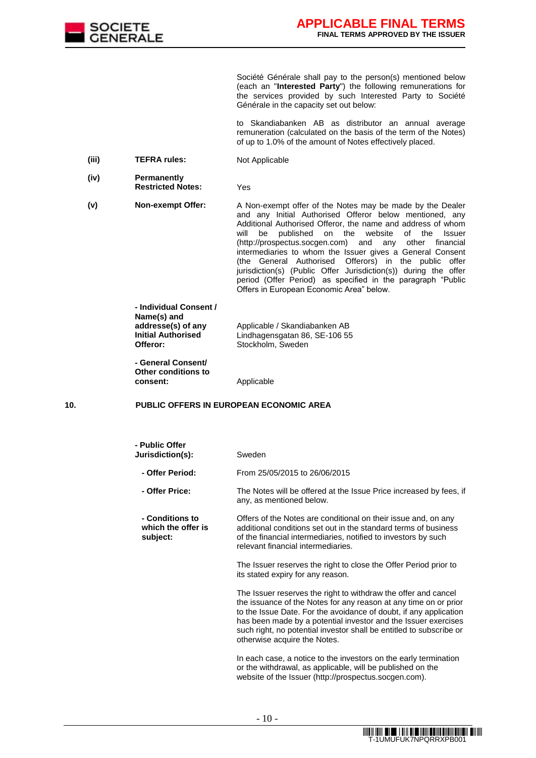

Société Générale shall pay to the person(s) mentioned below (each an "**Interested Party**") the following remunerations for the services provided by such Interested Party to Société Générale in the capacity set out below:

to Skandiabanken AB as distributor an annual average remuneration (calculated on the basis of the term of the Notes) of up to 1.0% of the amount of Notes effectively placed.

- (iii) TEFRA rules: Not Applicable
- **(iv) Permanently Restricted Notes:** Yes
- 

**(v) Non-exempt Offer:** A Non-exempt offer of the Notes may be made by the Dealer and any Initial Authorised Offeror below mentioned, any Additional Authorised Offeror, the name and address of whom will be published on the website of the Issuer (http://prospectus.socgen.com) and any other financial intermediaries to whom the Issuer gives a General Consent (the General Authorised Offerors) in the public offer jurisdiction(s) (Public Offer Jurisdiction(s)) during the offer period (Offer Period) as specified in the paragraph "Public Offers in European Economic Area" below.

| - Individual Consent /    |                               |
|---------------------------|-------------------------------|
| Name(s) and               |                               |
| addresse(s) of any        | Applicable / Skandiabanken AB |
| <b>Initial Authorised</b> | Lindhagensgatan 86, SE-106 55 |
| Offeror:                  | Stockholm, Sweden             |
|                           |                               |

**- General Consent/ Other conditions to consent:** Applicable

**10. PUBLIC OFFERS IN EUROPEAN ECONOMIC AREA**

| - Public Offer                                    |                                                                                                                                                                                                                                                                                                                                                                                  |
|---------------------------------------------------|----------------------------------------------------------------------------------------------------------------------------------------------------------------------------------------------------------------------------------------------------------------------------------------------------------------------------------------------------------------------------------|
| Jurisdiction(s):                                  | Sweden                                                                                                                                                                                                                                                                                                                                                                           |
| - Offer Period:                                   | From 25/05/2015 to 26/06/2015                                                                                                                                                                                                                                                                                                                                                    |
| - Offer Price:                                    | The Notes will be offered at the Issue Price increased by fees, if<br>any, as mentioned below.                                                                                                                                                                                                                                                                                   |
| - Conditions to<br>which the offer is<br>subject: | Offers of the Notes are conditional on their issue and, on any<br>additional conditions set out in the standard terms of business<br>of the financial intermediaries, notified to investors by such<br>relevant financial intermediaries.                                                                                                                                        |
|                                                   | The Issuer reserves the right to close the Offer Period prior to<br>its stated expiry for any reason.                                                                                                                                                                                                                                                                            |
|                                                   | The Issuer reserves the right to withdraw the offer and cancel<br>the issuance of the Notes for any reason at any time on or prior<br>to the Issue Date. For the avoidance of doubt, if any application<br>has been made by a potential investor and the Issuer exercises<br>such right, no potential investor shall be entitled to subscribe or<br>otherwise acquire the Notes. |
|                                                   | In each case, a notice to the investors on the early termination<br>or the withdrawal, as applicable, will be published on the<br>website of the Issuer (http://prospectus.socgen.com).                                                                                                                                                                                          |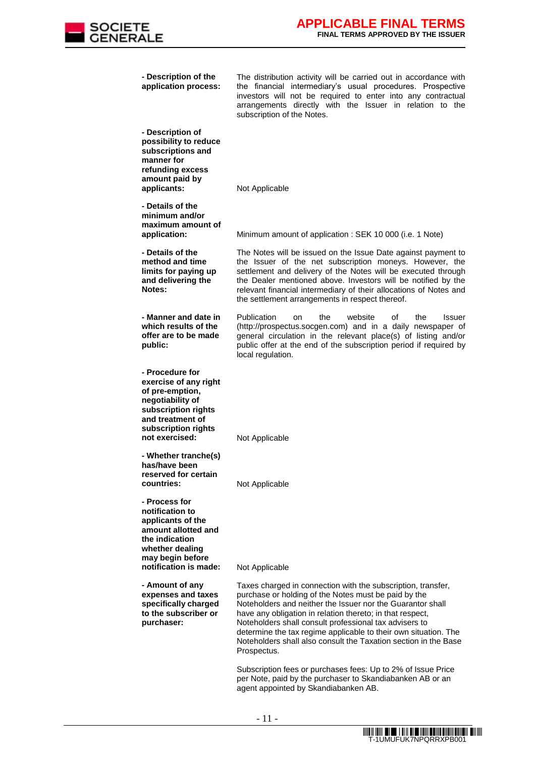

**- Description of the application process:** The distribution activity will be carried out in accordance with the financial intermediary's usual procedures. Prospective investors will not be required to enter into any contractual arrangements directly with the Issuer in relation to the subscription of the Notes. **- Description of possibility to reduce subscriptions and manner for refunding excess amount paid by applicants:** Not Applicable **- Details of the minimum and/or maximum amount of application:** Minimum amount of application : SEK 10 000 (i.e. 1 Note) **- Details of the method and time limits for paying up and delivering the Notes:** The Notes will be issued on the Issue Date against payment to the Issuer of the net subscription moneys. However, the settlement and delivery of the Notes will be executed through the Dealer mentioned above. Investors will be notified by the relevant financial intermediary of their allocations of Notes and the settlement arrangements in respect thereof. **- Manner and date in which results of the offer are to be made public:** Publication on the website of the Issuer (http://prospectus.socgen.com) and in a daily newspaper of general circulation in the relevant place(s) of listing and/or public offer at the end of the subscription period if required by local regulation. **- Procedure for exercise of any right of pre-emption, negotiability of subscription rights and treatment of subscription rights Not Applicable - Whether tranche(s) has/have been reserved for certain countries:** Not Applicable **- Process for notification to applicants of the amount allotted and the indication whether dealing may begin before notification is made:** Not Applicable **- Amount of any expenses and taxes specifically charged to the subscriber or purchaser:** Taxes charged in connection with the subscription, transfer, purchase or holding of the Notes must be paid by the Noteholders and neither the Issuer nor the Guarantor shall have any obligation in relation thereto; in that respect, Noteholders shall consult professional tax advisers to determine the tax regime applicable to their own situation. The Noteholders shall also consult the Taxation section in the Base Prospectus. Subscription fees or purchases fees: Up to 2% of Issue Price per Note, paid by the purchaser to Skandiabanken AB or an agent appointed by Skandiabanken AB.

- 11 -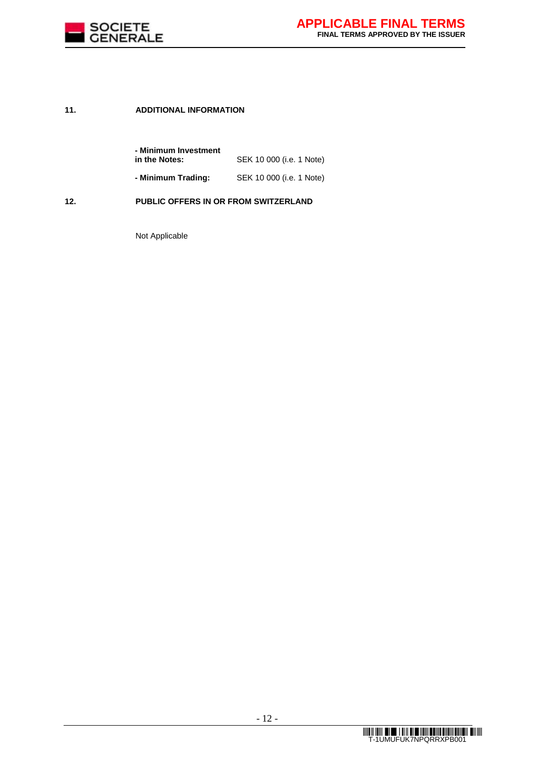

### **11. ADDITIONAL INFORMATION**

|     | - Minimum Investment<br>in the Notes:       | SEK 10 000 ( <i>i.e.</i> 1 Note) |
|-----|---------------------------------------------|----------------------------------|
|     | - Minimum Trading:                          | SEK 10 000 ( <i>i.e.</i> 1 Note) |
| 12. | <b>PUBLIC OFFERS IN OR FROM SWITZERLAND</b> |                                  |

Not Applicable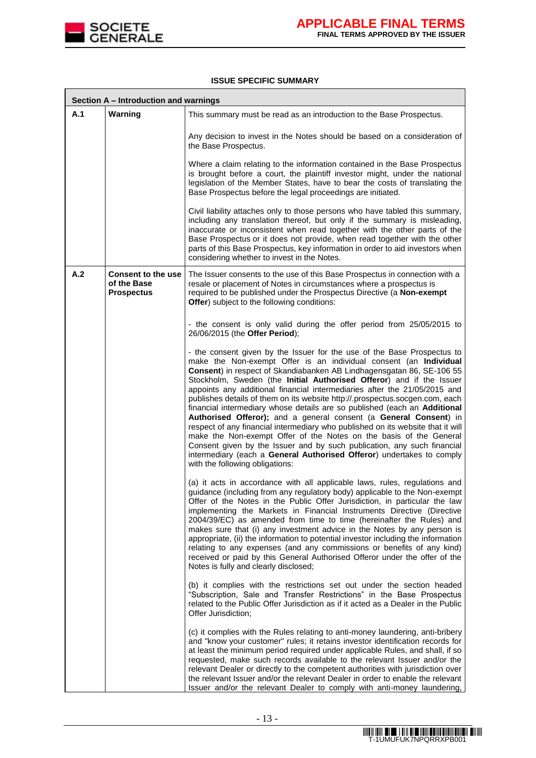

**F** 

#### **ISSUE SPECIFIC SUMMARY**

|     | Section A - Introduction and warnings                         |                                                                                                                                                                                                                                                                                                                                                                                                                                                                                                                                                                                                                                                                                                                                                                                                                                                                                                                                                              |  |  |
|-----|---------------------------------------------------------------|--------------------------------------------------------------------------------------------------------------------------------------------------------------------------------------------------------------------------------------------------------------------------------------------------------------------------------------------------------------------------------------------------------------------------------------------------------------------------------------------------------------------------------------------------------------------------------------------------------------------------------------------------------------------------------------------------------------------------------------------------------------------------------------------------------------------------------------------------------------------------------------------------------------------------------------------------------------|--|--|
| A.1 | Warning                                                       | This summary must be read as an introduction to the Base Prospectus.                                                                                                                                                                                                                                                                                                                                                                                                                                                                                                                                                                                                                                                                                                                                                                                                                                                                                         |  |  |
|     |                                                               | Any decision to invest in the Notes should be based on a consideration of<br>the Base Prospectus.                                                                                                                                                                                                                                                                                                                                                                                                                                                                                                                                                                                                                                                                                                                                                                                                                                                            |  |  |
|     |                                                               | Where a claim relating to the information contained in the Base Prospectus<br>is brought before a court, the plaintiff investor might, under the national<br>legislation of the Member States, have to bear the costs of translating the<br>Base Prospectus before the legal proceedings are initiated.                                                                                                                                                                                                                                                                                                                                                                                                                                                                                                                                                                                                                                                      |  |  |
|     |                                                               | Civil liability attaches only to those persons who have tabled this summary,<br>including any translation thereof, but only if the summary is misleading,<br>inaccurate or inconsistent when read together with the other parts of the<br>Base Prospectus or it does not provide, when read together with the other<br>parts of this Base Prospectus, key information in order to aid investors when<br>considering whether to invest in the Notes.                                                                                                                                                                                                                                                                                                                                                                                                                                                                                                          |  |  |
| A.2 | <b>Consent to the use</b><br>of the Base<br><b>Prospectus</b> | The Issuer consents to the use of this Base Prospectus in connection with a<br>resale or placement of Notes in circumstances where a prospectus is<br>required to be published under the Prospectus Directive (a Non-exempt<br>Offer) subject to the following conditions:                                                                                                                                                                                                                                                                                                                                                                                                                                                                                                                                                                                                                                                                                   |  |  |
|     |                                                               | - the consent is only valid during the offer period from 25/05/2015 to<br>26/06/2015 (the Offer Period);                                                                                                                                                                                                                                                                                                                                                                                                                                                                                                                                                                                                                                                                                                                                                                                                                                                     |  |  |
|     |                                                               | - the consent given by the Issuer for the use of the Base Prospectus to<br>make the Non-exempt Offer is an individual consent (an Individual<br>Consent) in respect of Skandiabanken AB Lindhagensgatan 86, SE-106 55<br>Stockholm, Sweden (the Initial Authorised Offeror) and if the Issuer<br>appoints any additional financial intermediaries after the 21/05/2015 and<br>publishes details of them on its website http://.prospectus.socgen.com, each<br>financial intermediary whose details are so published (each an Additional<br>Authorised Offeror); and a general consent (a General Consent) in<br>respect of any financial intermediary who published on its website that it will<br>make the Non-exempt Offer of the Notes on the basis of the General<br>Consent given by the Issuer and by such publication, any such financial<br>intermediary (each a General Authorised Offeror) undertakes to comply<br>with the following obligations: |  |  |
|     |                                                               | (a) it acts in accordance with all applicable laws, rules, regulations and<br>guidance (including from any regulatory body) applicable to the Non-exempt<br>Offer of the Notes in the Public Offer Jurisdiction, in particular the law<br>implementing the Markets in Financial Instruments Directive (Directive<br>2004/39/EC) as amended from time to time (hereinafter the Rules) and<br>makes sure that (i) any investment advice in the Notes by any person is<br>appropriate, (ii) the information to potential investor including the information<br>relating to any expenses (and any commissions or benefits of any kind)<br>received or paid by this General Authorised Offeror under the offer of the<br>Notes is fully and clearly disclosed;                                                                                                                                                                                                    |  |  |
|     |                                                               | (b) it complies with the restrictions set out under the section headed<br>"Subscription, Sale and Transfer Restrictions" in the Base Prospectus<br>related to the Public Offer Jurisdiction as if it acted as a Dealer in the Public<br>Offer Jurisdiction;                                                                                                                                                                                                                                                                                                                                                                                                                                                                                                                                                                                                                                                                                                  |  |  |
|     |                                                               | (c) it complies with the Rules relating to anti-money laundering, anti-bribery<br>and "know your customer" rules; it retains investor identification records for<br>at least the minimum period required under applicable Rules, and shall, if so<br>requested, make such records available to the relevant Issuer and/or the<br>relevant Dealer or directly to the competent authorities with jurisdiction over<br>the relevant Issuer and/or the relevant Dealer in order to enable the relevant<br>Issuer and/or the relevant Dealer to comply with anti-money laundering,                                                                                                                                                                                                                                                                                                                                                                                |  |  |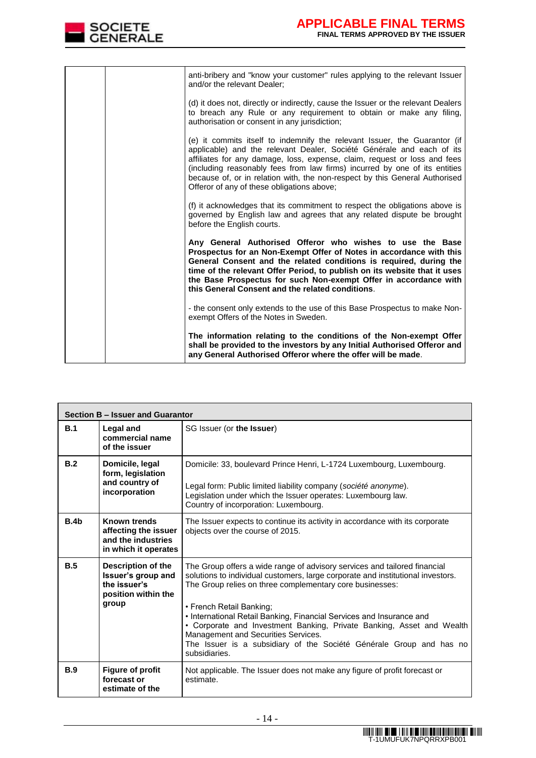

|  | anti-bribery and "know your customer" rules applying to the relevant Issuer<br>and/or the relevant Dealer;                                                                                                                                                                                                                                                                                                                                 |
|--|--------------------------------------------------------------------------------------------------------------------------------------------------------------------------------------------------------------------------------------------------------------------------------------------------------------------------------------------------------------------------------------------------------------------------------------------|
|  | (d) it does not, directly or indirectly, cause the Issuer or the relevant Dealers<br>to breach any Rule or any requirement to obtain or make any filing,<br>authorisation or consent in any jurisdiction;                                                                                                                                                                                                                                  |
|  | (e) it commits itself to indemnify the relevant Issuer, the Guarantor (if<br>applicable) and the relevant Dealer, Société Générale and each of its<br>affiliates for any damage, loss, expense, claim, request or loss and fees<br>(including reasonably fees from law firms) incurred by one of its entities<br>because of, or in relation with, the non-respect by this General Authorised<br>Offeror of any of these obligations above: |
|  | (f) it acknowledges that its commitment to respect the obligations above is<br>governed by English law and agrees that any related dispute be brought<br>before the English courts.                                                                                                                                                                                                                                                        |
|  | Any General Authorised Offeror who wishes to use the Base<br>Prospectus for an Non-Exempt Offer of Notes in accordance with this<br>General Consent and the related conditions is required, during the<br>time of the relevant Offer Period, to publish on its website that it uses<br>the Base Prospectus for such Non-exempt Offer in accordance with<br>this General Consent and the related conditions.                                |
|  | - the consent only extends to the use of this Base Prospectus to make Non-<br>exempt Offers of the Notes in Sweden.                                                                                                                                                                                                                                                                                                                        |
|  | The information relating to the conditions of the Non-exempt Offer<br>shall be provided to the investors by any Initial Authorised Offeror and<br>any General Authorised Offeror where the offer will be made.                                                                                                                                                                                                                             |

|            | Section B - Issuer and Guarantor                                                                                                                                                                                                                                                                                            |                                                                                                                                                                                                                                                                                                                                                                                                                                                                                                                                      |
|------------|-----------------------------------------------------------------------------------------------------------------------------------------------------------------------------------------------------------------------------------------------------------------------------------------------------------------------------|--------------------------------------------------------------------------------------------------------------------------------------------------------------------------------------------------------------------------------------------------------------------------------------------------------------------------------------------------------------------------------------------------------------------------------------------------------------------------------------------------------------------------------------|
| B.1        | Legal and<br>commercial name<br>of the issuer                                                                                                                                                                                                                                                                               | SG Issuer (or the Issuer)                                                                                                                                                                                                                                                                                                                                                                                                                                                                                                            |
| B.2        | Domicile, legal<br>Domicile: 33, boulevard Prince Henri, L-1724 Luxembourg, Luxembourg.<br>form, legislation<br>and country of<br>Legal form: Public limited liability company (société anonyme).<br>incorporation<br>Legislation under which the Issuer operates: Luxembourg law.<br>Country of incorporation: Luxembourg. |                                                                                                                                                                                                                                                                                                                                                                                                                                                                                                                                      |
| B.4b       | Known trends<br>affecting the issuer<br>and the industries<br>in which it operates                                                                                                                                                                                                                                          | The Issuer expects to continue its activity in accordance with its corporate<br>objects over the course of 2015.                                                                                                                                                                                                                                                                                                                                                                                                                     |
| B.5        | Description of the<br>Issuer's group and<br>the issuer's<br>position within the<br>group                                                                                                                                                                                                                                    | The Group offers a wide range of advisory services and tailored financial<br>solutions to individual customers, large corporate and institutional investors.<br>The Group relies on three complementary core businesses:<br>• French Retail Banking;<br>• International Retail Banking, Financial Services and Insurance and<br>• Corporate and Investment Banking, Private Banking, Asset and Wealth<br>Management and Securities Services.<br>The Issuer is a subsidiary of the Société Générale Group and has no<br>subsidiaries. |
| <b>B.9</b> | <b>Figure of profit</b><br>forecast or<br>estimate of the                                                                                                                                                                                                                                                                   | Not applicable. The Issuer does not make any figure of profit forecast or<br>estimate.                                                                                                                                                                                                                                                                                                                                                                                                                                               |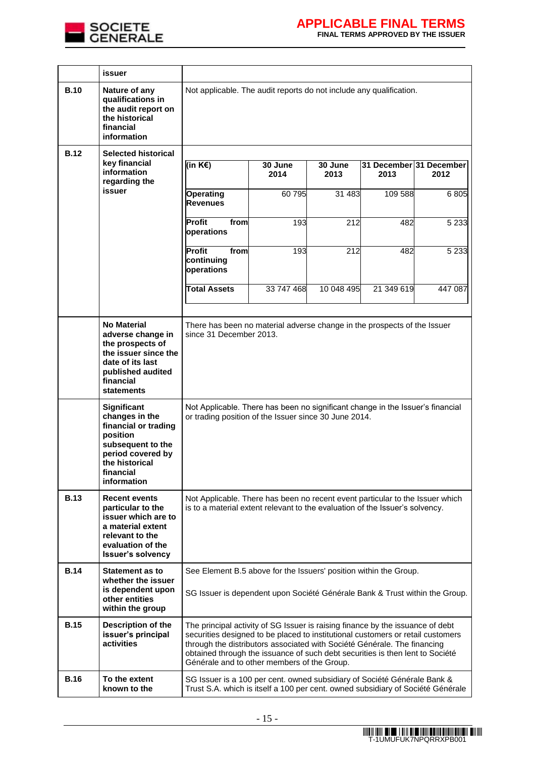

|             | issuer                                                                                                                                                         |                                                                                                                                                                                                                                                                                                                                                                               |                 |                 |                                 |         |
|-------------|----------------------------------------------------------------------------------------------------------------------------------------------------------------|-------------------------------------------------------------------------------------------------------------------------------------------------------------------------------------------------------------------------------------------------------------------------------------------------------------------------------------------------------------------------------|-----------------|-----------------|---------------------------------|---------|
| <b>B.10</b> | Nature of any<br>qualifications in<br>the audit report on<br>the historical<br>financial<br>information                                                        | Not applicable. The audit reports do not include any qualification.                                                                                                                                                                                                                                                                                                           |                 |                 |                                 |         |
| <b>B.12</b> | <b>Selected historical</b>                                                                                                                                     |                                                                                                                                                                                                                                                                                                                                                                               |                 |                 |                                 |         |
|             | key financial<br>information<br>regarding the                                                                                                                  | (in K $\varepsilon$ )                                                                                                                                                                                                                                                                                                                                                         | 30 June<br>2014 | 30 June<br>2013 | 31 December 31 December<br>2013 | 2012    |
|             | <b>issuer</b>                                                                                                                                                  | <b>Operating</b><br><b>Revenues</b>                                                                                                                                                                                                                                                                                                                                           | 60795           | 31 483          | 109 588                         | 6805    |
|             |                                                                                                                                                                | Profit<br>from<br>operations                                                                                                                                                                                                                                                                                                                                                  | 193             | 212             | 482                             | 5 2 3 3 |
|             |                                                                                                                                                                | Profit<br>from<br>continuing<br>operations                                                                                                                                                                                                                                                                                                                                    | 193             | 212             | 482                             | 5 2 3 3 |
|             |                                                                                                                                                                | <b>Total Assets</b>                                                                                                                                                                                                                                                                                                                                                           | 33 747 468      | 10 048 495      | 21 349 619                      | 447 087 |
|             | <b>No Material</b><br>adverse change in<br>the prospects of<br>the issuer since the<br>date of its last<br>published audited<br>financial<br><b>statements</b> | There has been no material adverse change in the prospects of the Issuer<br>since 31 December 2013.                                                                                                                                                                                                                                                                           |                 |                 |                                 |         |
|             | Significant<br>changes in the<br>financial or trading<br>position<br>subsequent to the<br>period covered by<br>the historical<br>financial<br>information      | Not Applicable. There has been no significant change in the Issuer's financial<br>or trading position of the Issuer since 30 June 2014.                                                                                                                                                                                                                                       |                 |                 |                                 |         |
| <b>B.13</b> | <b>Recent events</b><br>particular to the<br>issuer which are to<br>a material extent<br>relevant to the<br>evaluation of the<br><b>Issuer's solvency</b>      | Not Applicable. There has been no recent event particular to the Issuer which<br>is to a material extent relevant to the evaluation of the Issuer's solvency.                                                                                                                                                                                                                 |                 |                 |                                 |         |
| <b>B.14</b> | <b>Statement as to</b><br>whether the issuer<br>is dependent upon<br>other entities<br>within the group                                                        | See Element B.5 above for the Issuers' position within the Group.<br>SG Issuer is dependent upon Société Générale Bank & Trust within the Group.                                                                                                                                                                                                                              |                 |                 |                                 |         |
| <b>B.15</b> | Description of the<br>issuer's principal<br>activities                                                                                                         | The principal activity of SG Issuer is raising finance by the issuance of debt<br>securities designed to be placed to institutional customers or retail customers<br>through the distributors associated with Société Générale. The financing<br>obtained through the issuance of such debt securities is then lent to Société<br>Générale and to other members of the Group. |                 |                 |                                 |         |
| <b>B.16</b> | To the extent<br>known to the                                                                                                                                  | SG Issuer is a 100 per cent. owned subsidiary of Société Générale Bank &<br>Trust S.A. which is itself a 100 per cent. owned subsidiary of Société Générale                                                                                                                                                                                                                   |                 |                 |                                 |         |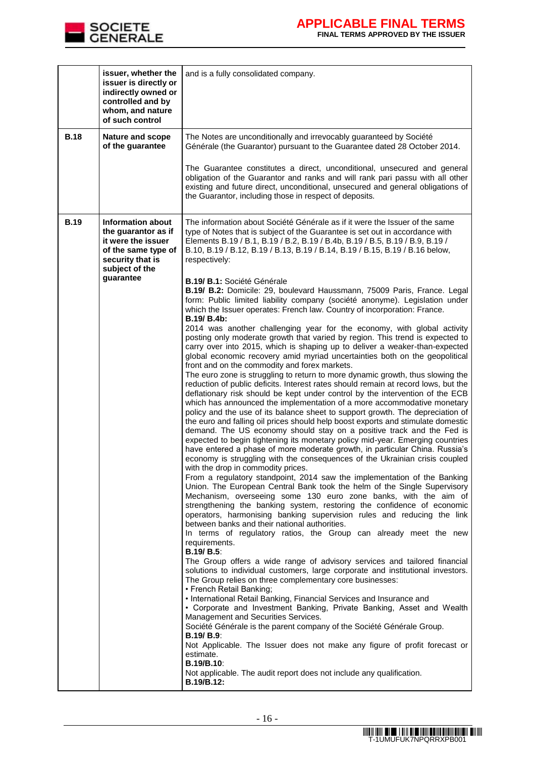

|             | issuer, whether the<br>issuer is directly or<br>indirectly owned or<br>controlled and by<br>whom, and nature<br>of such control                 | and is a fully consolidated company.                                                                                                                                                                                                                                                                                                                                                                                                                                                                                                                                                                                                                                                                                                                                                                                                                                                                                                                                                                                                                                                                                                                                                                                                                                                                                                                                                                                                                                                                                                                                                                                                                                                                                                                                                                                                                                                                                                                                                                                                                                                                                                                                                                                                                                                                                                                                                                                                                                                                                                                                                                                                                                                                                                                                                                                                                                                                                                                                                                                                                                                                                                                                               |
|-------------|-------------------------------------------------------------------------------------------------------------------------------------------------|------------------------------------------------------------------------------------------------------------------------------------------------------------------------------------------------------------------------------------------------------------------------------------------------------------------------------------------------------------------------------------------------------------------------------------------------------------------------------------------------------------------------------------------------------------------------------------------------------------------------------------------------------------------------------------------------------------------------------------------------------------------------------------------------------------------------------------------------------------------------------------------------------------------------------------------------------------------------------------------------------------------------------------------------------------------------------------------------------------------------------------------------------------------------------------------------------------------------------------------------------------------------------------------------------------------------------------------------------------------------------------------------------------------------------------------------------------------------------------------------------------------------------------------------------------------------------------------------------------------------------------------------------------------------------------------------------------------------------------------------------------------------------------------------------------------------------------------------------------------------------------------------------------------------------------------------------------------------------------------------------------------------------------------------------------------------------------------------------------------------------------------------------------------------------------------------------------------------------------------------------------------------------------------------------------------------------------------------------------------------------------------------------------------------------------------------------------------------------------------------------------------------------------------------------------------------------------------------------------------------------------------------------------------------------------------------------------------------------------------------------------------------------------------------------------------------------------------------------------------------------------------------------------------------------------------------------------------------------------------------------------------------------------------------------------------------------------------------------------------------------------------------------------------------------------|
| <b>B.18</b> | <b>Nature and scope</b><br>of the guarantee                                                                                                     | The Notes are unconditionally and irrevocably guaranteed by Société<br>Générale (the Guarantor) pursuant to the Guarantee dated 28 October 2014.<br>The Guarantee constitutes a direct, unconditional, unsecured and general<br>obligation of the Guarantor and ranks and will rank pari passu with all other<br>existing and future direct, unconditional, unsecured and general obligations of<br>the Guarantor, including those in respect of deposits.                                                                                                                                                                                                                                                                                                                                                                                                                                                                                                                                                                                                                                                                                                                                                                                                                                                                                                                                                                                                                                                                                                                                                                                                                                                                                                                                                                                                                                                                                                                                                                                                                                                                                                                                                                                                                                                                                                                                                                                                                                                                                                                                                                                                                                                                                                                                                                                                                                                                                                                                                                                                                                                                                                                         |
| <b>B.19</b> | <b>Information about</b><br>the quarantor as if<br>it were the issuer<br>of the same type of<br>security that is<br>subject of the<br>guarantee | The information about Société Générale as if it were the Issuer of the same<br>type of Notes that is subject of the Guarantee is set out in accordance with<br>Elements B.19 / B.1, B.19 / B.2, B.19 / B.4b, B.19 / B.5, B.19 / B.9, B.19 /<br>B.10, B.19 / B.12, B.19 / B.13, B.19 / B.14, B.19 / B.15, B.19 / B.16 below,<br>respectively:<br>B.19/ B.1: Société Générale<br>B.19/ B.2: Domicile: 29, boulevard Haussmann, 75009 Paris, France. Legal<br>form: Public limited liability company (société anonyme). Legislation under<br>which the Issuer operates: French law. Country of incorporation: France.<br>B.19/ B.4b:<br>2014 was another challenging year for the economy, with global activity<br>posting only moderate growth that varied by region. This trend is expected to<br>carry over into 2015, which is shaping up to deliver a weaker-than-expected<br>global economic recovery amid myriad uncertainties both on the geopolitical<br>front and on the commodity and forex markets.<br>The euro zone is struggling to return to more dynamic growth, thus slowing the<br>reduction of public deficits. Interest rates should remain at record lows, but the<br>deflationary risk should be kept under control by the intervention of the ECB<br>which has announced the implementation of a more accommodative monetary<br>policy and the use of its balance sheet to support growth. The depreciation of<br>the euro and falling oil prices should help boost exports and stimulate domestic<br>demand. The US economy should stay on a positive track and the Fed is<br>expected to begin tightening its monetary policy mid-year. Emerging countries<br>have entered a phase of more moderate growth, in particular China. Russia's<br>economy is struggling with the consequences of the Ukrainian crisis coupled<br>with the drop in commodity prices.<br>From a regulatory standpoint, 2014 saw the implementation of the Banking<br>Union. The European Central Bank took the helm of the Single Supervisory<br>Mechanism, overseeing some 130 euro zone banks, with the aim of<br>strengthening the banking system, restoring the confidence of economic<br>operators, harmonising banking supervision rules and reducing the link<br>between banks and their national authorities.<br>In terms of regulatory ratios, the Group can already meet the new<br>requirements.<br><b>B.19/ B.5:</b><br>The Group offers a wide range of advisory services and tailored financial<br>solutions to individual customers, large corporate and institutional investors.<br>The Group relies on three complementary core businesses:<br>• French Retail Banking;<br>• International Retail Banking, Financial Services and Insurance and<br>• Corporate and Investment Banking, Private Banking, Asset and Wealth<br>Management and Securities Services.<br>Société Générale is the parent company of the Société Générale Group.<br><b>B.19/ B.9:</b><br>Not Applicable. The Issuer does not make any figure of profit forecast or<br>estimate.<br><b>B.19/B.10:</b><br>Not applicable. The audit report does not include any qualification.<br>B.19/B.12: |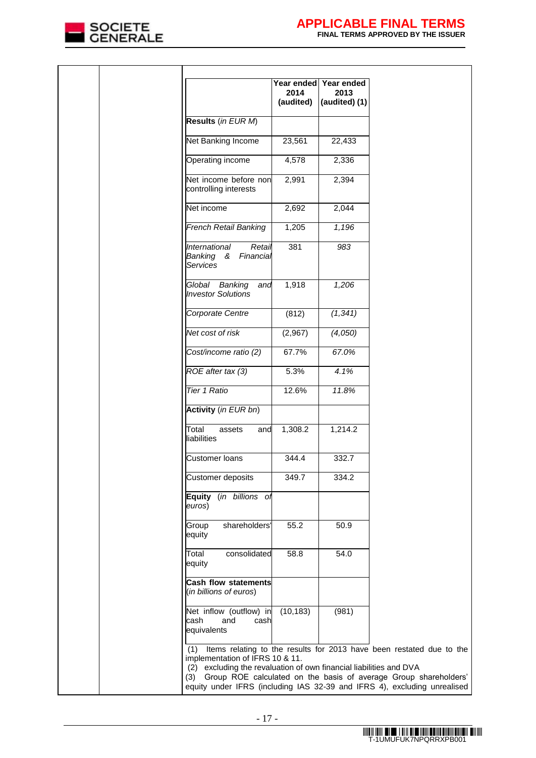

 $\top$ 

٦

| Results (in EUR M)                                                                                                                     | 23,561<br>4,578<br>2,991 | 22,433<br>2,336 |  |
|----------------------------------------------------------------------------------------------------------------------------------------|--------------------------|-----------------|--|
| Net Banking Income<br>Operating income<br>Net income before non<br>controlling interests<br>Net income<br><b>French Retail Banking</b> |                          |                 |  |
|                                                                                                                                        |                          |                 |  |
|                                                                                                                                        |                          |                 |  |
|                                                                                                                                        |                          | 2,394           |  |
|                                                                                                                                        | 2,692                    | 2,044           |  |
|                                                                                                                                        | 1,205                    | 1,196           |  |
| Retail<br>International<br>Banking &<br>Financial<br><b>Services</b>                                                                   | 381                      | 983             |  |
| Banking<br>Global<br>and<br><b>Investor Solutions</b>                                                                                  | 1,918                    | 1,206           |  |
| Corporate Centre                                                                                                                       | (812)                    | (1, 341)        |  |
| Net cost of risk                                                                                                                       | (2,967)                  | (4,050)         |  |
| Cost/income ratio (2)                                                                                                                  | 67.7%                    | 67.0%           |  |
| ROE after tax (3)                                                                                                                      | 5.3%                     | 4.1%            |  |
| Tier 1 Ratio                                                                                                                           | 12.6%                    | 11.8%           |  |
| Activity (in EUR bn)                                                                                                                   |                          |                 |  |
| Total<br>assets<br>and<br>liabilities                                                                                                  | 1,308.2                  | 1,214.2         |  |
| <b>Customer loans</b>                                                                                                                  | 344.4                    | 332.7           |  |
| Customer deposits                                                                                                                      | 349.7                    | 334.2           |  |
| Equity (in billions of<br>euros)                                                                                                       |                          |                 |  |
| shareholders'<br>Group<br>equity                                                                                                       | 55.2                     | 50.9            |  |
| Total<br>consolidated<br>equity                                                                                                        | 58.8                     | 54.0            |  |
| <b>Cash flow statements</b><br>(in billions of euros)                                                                                  |                          |                 |  |
| Net inflow (outflow) in<br>cash<br>and<br>cash<br>equivalents                                                                          | (10, 183)                | (981)           |  |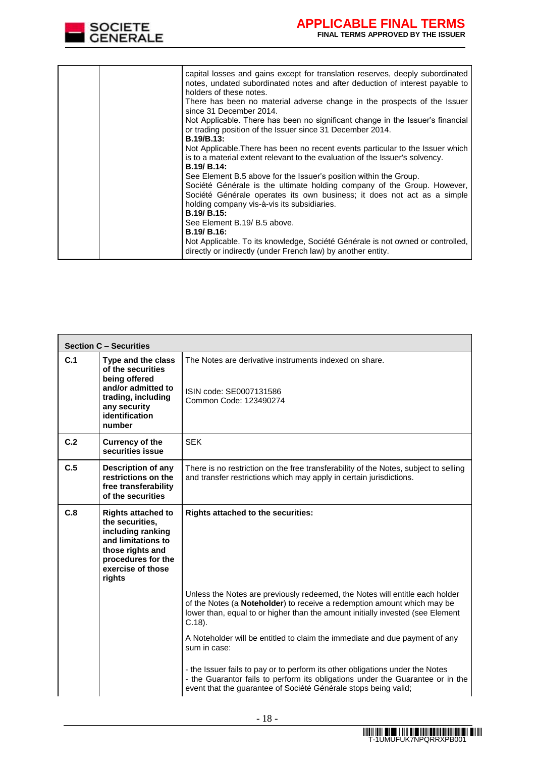

 $\top$ 

 $\overline{\phantom{a}}$ 

 $\mathsf{r}$ 

 $\overline{a}$ 

|  | capital losses and gains except for translation reserves, deeply subordinated<br>notes, undated subordinated notes and after deduction of interest payable to<br>holders of these notes.                                                                                                     |
|--|----------------------------------------------------------------------------------------------------------------------------------------------------------------------------------------------------------------------------------------------------------------------------------------------|
|  | There has been no material adverse change in the prospects of the Issuer<br>since 31 December 2014.                                                                                                                                                                                          |
|  | Not Applicable. There has been no significant change in the Issuer's financial<br>or trading position of the Issuer since 31 December 2014.<br><b>B.19/B.13:</b>                                                                                                                             |
|  | Not Applicable. There has been no recent events particular to the Issuer which<br>is to a material extent relevant to the evaluation of the Issuer's solvency.<br><b>B.19/ B.14:</b>                                                                                                         |
|  | See Element B.5 above for the Issuer's position within the Group.<br>Société Générale is the ultimate holding company of the Group. However,<br>Société Générale operates its own business; it does not act as a simple<br>holding company vis-à-vis its subsidiaries.<br><b>B.19/ B.15:</b> |
|  | See Element B.19/ B.5 above.<br>B.19/B.16:                                                                                                                                                                                                                                                   |
|  | Not Applicable. To its knowledge, Société Générale is not owned or controlled,<br>directly or indirectly (under French law) by another entity.                                                                                                                                               |

|     | <b>Section C - Securities</b>                                                                                                                                    |                                                                                                                                                                                                                                                        |  |  |  |
|-----|------------------------------------------------------------------------------------------------------------------------------------------------------------------|--------------------------------------------------------------------------------------------------------------------------------------------------------------------------------------------------------------------------------------------------------|--|--|--|
| C.1 | Type and the class<br>of the securities<br>being offered<br>and/or admitted to<br>trading, including<br>any security<br>identification<br>number                 | The Notes are derivative instruments indexed on share.<br>ISIN code: SE0007131586<br>Common Code: 123490274                                                                                                                                            |  |  |  |
| C.2 | <b>Currency of the</b><br>securities issue                                                                                                                       | <b>SEK</b>                                                                                                                                                                                                                                             |  |  |  |
| C.5 | <b>Description of any</b><br>restrictions on the<br>free transferability<br>of the securities                                                                    | There is no restriction on the free transferability of the Notes, subject to selling<br>and transfer restrictions which may apply in certain jurisdictions.                                                                                            |  |  |  |
| C.8 | <b>Rights attached to</b><br>the securities,<br>including ranking<br>and limitations to<br>those rights and<br>procedures for the<br>exercise of those<br>rights | <b>Rights attached to the securities:</b>                                                                                                                                                                                                              |  |  |  |
|     |                                                                                                                                                                  | Unless the Notes are previously redeemed, the Notes will entitle each holder<br>of the Notes (a Noteholder) to receive a redemption amount which may be<br>lower than, equal to or higher than the amount initially invested (see Element<br>$C.18$ ). |  |  |  |
|     |                                                                                                                                                                  | A Noteholder will be entitled to claim the immediate and due payment of any<br>sum in case:                                                                                                                                                            |  |  |  |
|     |                                                                                                                                                                  | - the Issuer fails to pay or to perform its other obligations under the Notes<br>- the Guarantor fails to perform its obligations under the Guarantee or in the<br>event that the guarantee of Société Générale stops being valid;                     |  |  |  |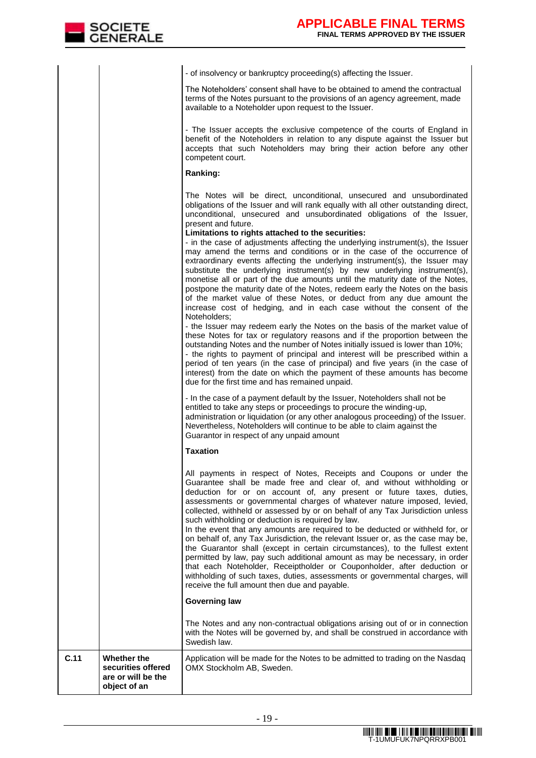| C.11 | <b>Whether the</b><br>securities offered<br>are or will be the<br>object of an | Application will be made for the Notes to be admitted to trading on the Nasdaq<br>OMX Stockholm AB, Sweden.                                                                                                                                                                                                                                                                                                                                                                                                                                                                                                                                                                                                                                                                                                                                                                                                                                                                                                                                                                                                                                                                                                                                                                                                                                                                                                                                                                                                                                                                                                                                                                                                                                                                                        |
|------|--------------------------------------------------------------------------------|----------------------------------------------------------------------------------------------------------------------------------------------------------------------------------------------------------------------------------------------------------------------------------------------------------------------------------------------------------------------------------------------------------------------------------------------------------------------------------------------------------------------------------------------------------------------------------------------------------------------------------------------------------------------------------------------------------------------------------------------------------------------------------------------------------------------------------------------------------------------------------------------------------------------------------------------------------------------------------------------------------------------------------------------------------------------------------------------------------------------------------------------------------------------------------------------------------------------------------------------------------------------------------------------------------------------------------------------------------------------------------------------------------------------------------------------------------------------------------------------------------------------------------------------------------------------------------------------------------------------------------------------------------------------------------------------------------------------------------------------------------------------------------------------------|
|      |                                                                                | The Notes and any non-contractual obligations arising out of or in connection<br>with the Notes will be governed by, and shall be construed in accordance with<br>Swedish law.                                                                                                                                                                                                                                                                                                                                                                                                                                                                                                                                                                                                                                                                                                                                                                                                                                                                                                                                                                                                                                                                                                                                                                                                                                                                                                                                                                                                                                                                                                                                                                                                                     |
|      |                                                                                | All payments in respect of Notes, Receipts and Coupons or under the<br>Guarantee shall be made free and clear of, and without withholding or<br>deduction for or on account of, any present or future taxes, duties,<br>assessments or governmental charges of whatever nature imposed, levied,<br>collected, withheld or assessed by or on behalf of any Tax Jurisdiction unless<br>such withholding or deduction is required by law.<br>In the event that any amounts are required to be deducted or withheld for, or<br>on behalf of, any Tax Jurisdiction, the relevant Issuer or, as the case may be,<br>the Guarantor shall (except in certain circumstances), to the fullest extent<br>permitted by law, pay such additional amount as may be necessary, in order<br>that each Noteholder, Receiptholder or Couponholder, after deduction or<br>withholding of such taxes, duties, assessments or governmental charges, will<br>receive the full amount then due and payable.<br><b>Governing law</b>                                                                                                                                                                                                                                                                                                                                                                                                                                                                                                                                                                                                                                                                                                                                                                                       |
|      |                                                                                | - In the case of a payment default by the Issuer, Noteholders shall not be<br>entitled to take any steps or proceedings to procure the winding-up,<br>administration or liquidation (or any other analogous proceeding) of the Issuer.<br>Nevertheless, Noteholders will continue to be able to claim against the<br>Guarantor in respect of any unpaid amount<br><b>Taxation</b>                                                                                                                                                                                                                                                                                                                                                                                                                                                                                                                                                                                                                                                                                                                                                                                                                                                                                                                                                                                                                                                                                                                                                                                                                                                                                                                                                                                                                  |
|      |                                                                                | - The Issuer accepts the exclusive competence of the courts of England in<br>benefit of the Noteholders in relation to any dispute against the Issuer but<br>accepts that such Noteholders may bring their action before any other<br>competent court.<br>Ranking:<br>The Notes will be direct, unconditional, unsecured and unsubordinated<br>obligations of the Issuer and will rank equally with all other outstanding direct,<br>unconditional, unsecured and unsubordinated obligations of the Issuer,<br>present and future.<br>Limitations to rights attached to the securities:<br>- in the case of adjustments affecting the underlying instrument(s), the Issuer<br>may amend the terms and conditions or in the case of the occurrence of<br>extraordinary events affecting the underlying instrument(s), the Issuer may<br>substitute the underlying instrument(s) by new underlying instrument(s),<br>monetise all or part of the due amounts until the maturity date of the Notes,<br>postpone the maturity date of the Notes, redeem early the Notes on the basis<br>of the market value of these Notes, or deduct from any due amount the<br>increase cost of hedging, and in each case without the consent of the<br>Noteholders:<br>- the Issuer may redeem early the Notes on the basis of the market value of<br>these Notes for tax or regulatory reasons and if the proportion between the<br>outstanding Notes and the number of Notes initially issued is lower than 10%;<br>- the rights to payment of principal and interest will be prescribed within a<br>period of ten years (in the case of principal) and five years (in the case of<br>interest) from the date on which the payment of these amounts has become<br>due for the first time and has remained unpaid. |
|      |                                                                                | - of insolvency or bankruptcy proceeding(s) affecting the Issuer.<br>The Noteholders' consent shall have to be obtained to amend the contractual<br>terms of the Notes pursuant to the provisions of an agency agreement, made<br>available to a Noteholder upon request to the Issuer.                                                                                                                                                                                                                                                                                                                                                                                                                                                                                                                                                                                                                                                                                                                                                                                                                                                                                                                                                                                                                                                                                                                                                                                                                                                                                                                                                                                                                                                                                                            |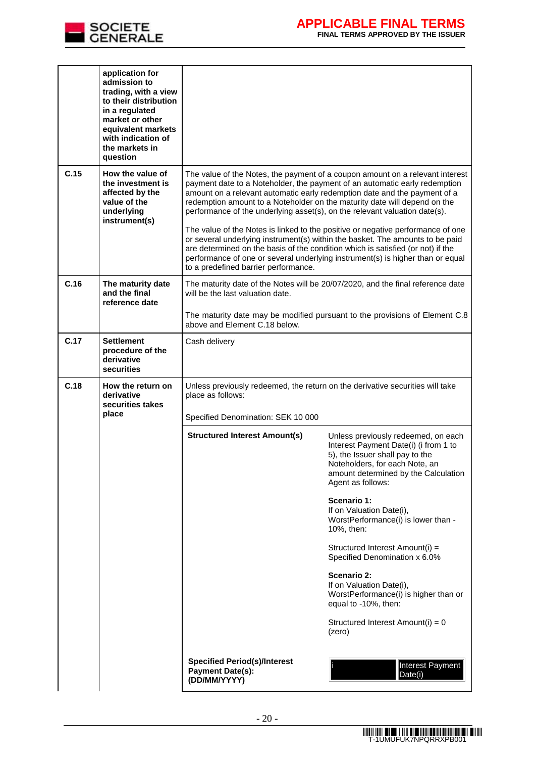

|      | application for<br>admission to<br>trading, with a view<br>to their distribution<br>in a regulated<br>market or other<br>equivalent markets<br>with indication of<br>the markets in<br>question |                                                                                                                                                                                                                                                                                                                                                                                                                                                                                                                                                                                                                                                            |                                                                                |  |
|------|-------------------------------------------------------------------------------------------------------------------------------------------------------------------------------------------------|------------------------------------------------------------------------------------------------------------------------------------------------------------------------------------------------------------------------------------------------------------------------------------------------------------------------------------------------------------------------------------------------------------------------------------------------------------------------------------------------------------------------------------------------------------------------------------------------------------------------------------------------------------|--------------------------------------------------------------------------------|--|
| C.15 | How the value of<br>the investment is<br>affected by the<br>value of the<br>underlying<br>instrument(s)                                                                                         | The value of the Notes, the payment of a coupon amount on a relevant interest<br>payment date to a Noteholder, the payment of an automatic early redemption<br>amount on a relevant automatic early redemption date and the payment of a<br>redemption amount to a Noteholder on the maturity date will depend on the<br>performance of the underlying asset(s), on the relevant valuation date(s).<br>The value of the Notes is linked to the positive or negative performance of one<br>or several underlying instrument(s) within the basket. The amounts to be paid<br>are determined on the basis of the condition which is satisfied (or not) if the |                                                                                |  |
|      |                                                                                                                                                                                                 | to a predefined barrier performance.                                                                                                                                                                                                                                                                                                                                                                                                                                                                                                                                                                                                                       | performance of one or several underlying instrument(s) is higher than or equal |  |
| C.16 | The maturity date<br>and the final<br>reference date                                                                                                                                            | The maturity date of the Notes will be 20/07/2020, and the final reference date<br>will be the last valuation date.                                                                                                                                                                                                                                                                                                                                                                                                                                                                                                                                        |                                                                                |  |
|      |                                                                                                                                                                                                 | The maturity date may be modified pursuant to the provisions of Element C.8<br>above and Element C.18 below.                                                                                                                                                                                                                                                                                                                                                                                                                                                                                                                                               |                                                                                |  |
| C.17 | <b>Settlement</b><br>procedure of the<br>derivative<br>securities                                                                                                                               | Cash delivery                                                                                                                                                                                                                                                                                                                                                                                                                                                                                                                                                                                                                                              |                                                                                |  |
| C.18 | How the return on<br>Unless previously redeemed, the return on the derivative securities will take<br>derivative<br>place as follows:<br>securities takes                                       |                                                                                                                                                                                                                                                                                                                                                                                                                                                                                                                                                                                                                                                            |                                                                                |  |
|      | place                                                                                                                                                                                           | Specified Denomination: SEK 10 000                                                                                                                                                                                                                                                                                                                                                                                                                                                                                                                                                                                                                         |                                                                                |  |
|      |                                                                                                                                                                                                 | <b>Structured Interest Amount(s)</b><br>Unless previously redeemed, on each<br>Interest Payment Date(i) (i from 1 to<br>5), the Issuer shall pay to the<br>Noteholders, for each Note, an<br>amount determined by the Calculation<br>Agent as follows:                                                                                                                                                                                                                                                                                                                                                                                                     |                                                                                |  |
|      |                                                                                                                                                                                                 | Scenario 1:<br>If on Valuation Date(i),<br>WorstPerformance(i) is lower than -<br>10%, then:                                                                                                                                                                                                                                                                                                                                                                                                                                                                                                                                                               |                                                                                |  |
|      |                                                                                                                                                                                                 | Structured Interest Amount(i) =<br>Specified Denomination x 6.0%                                                                                                                                                                                                                                                                                                                                                                                                                                                                                                                                                                                           |                                                                                |  |
|      |                                                                                                                                                                                                 | Scenario 2:<br>If on Valuation Date(i),<br>WorstPerformance(i) is higher than or<br>equal to -10%, then:                                                                                                                                                                                                                                                                                                                                                                                                                                                                                                                                                   |                                                                                |  |
|      |                                                                                                                                                                                                 | Structured Interest Amount(i) = 0<br>(zero)                                                                                                                                                                                                                                                                                                                                                                                                                                                                                                                                                                                                                |                                                                                |  |
|      |                                                                                                                                                                                                 | <b>Specified Period(s)/Interest</b><br><b>Payment Date(s):</b><br>(DD/MM/YYYY)                                                                                                                                                                                                                                                                                                                                                                                                                                                                                                                                                                             | Interest Payment<br>Date(i)                                                    |  |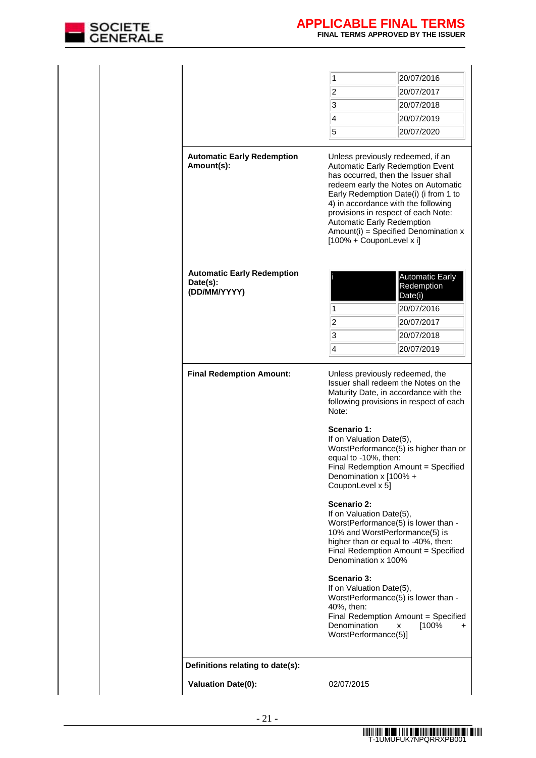

| 1<br>20/07/2016<br>$\overline{c}$<br>20/07/2017<br>3<br>20/07/2018<br>4<br>20/07/2019<br>5<br>20/07/2020<br><b>Automatic Early Redemption</b><br>Unless previously redeemed, if an<br>Amount(s):<br>Automatic Early Redemption Event<br>has occurred, then the Issuer shall<br>redeem early the Notes on Automatic<br>Early Redemption Date(i) (i from 1 to<br>4) in accordance with the following<br>provisions in respect of each Note:<br>Automatic Early Redemption<br>Amount(i) = Specified Denomination $x$<br>[100% + CouponLevel x i]<br><b>Automatic Early Redemption</b><br>Date(s):<br>Redemption<br>(DD/MM/YYYY)<br>Date(i)<br>20/07/2016<br>1<br>$\overline{c}$<br>20/07/2017<br>3<br>20/07/2018<br>4<br>20/07/2019<br><b>Final Redemption Amount:</b><br>Unless previously redeemed, the<br>Issuer shall redeem the Notes on the<br>Maturity Date, in accordance with the<br>following provisions in respect of each<br>Note:<br><b>Scenario 1:</b><br>If on Valuation Date(5),<br>WorstPerformance(5) is higher than or<br>equal to -10%, then:<br>Final Redemption Amount = Specified<br>Denomination x [100% +<br>CouponLevel x 5]<br>Scenario 2:<br>If on Valuation Date(5),<br>WorstPerformance(5) is lower than -<br>10% and WorstPerformance(5) is<br>higher than or equal to -40%, then:<br>Final Redemption Amount = Specified<br>Denomination x 100%<br>Scenario 3:<br>If on Valuation Date(5),<br>WorstPerformance(5) is lower than -<br>40%, then:<br>Final Redemption Amount = Specified<br>Denomination<br>$[100\%]$<br>x<br>WorstPerformance(5)]<br>Definitions relating to date(s): |  |                        |
|-------------------------------------------------------------------------------------------------------------------------------------------------------------------------------------------------------------------------------------------------------------------------------------------------------------------------------------------------------------------------------------------------------------------------------------------------------------------------------------------------------------------------------------------------------------------------------------------------------------------------------------------------------------------------------------------------------------------------------------------------------------------------------------------------------------------------------------------------------------------------------------------------------------------------------------------------------------------------------------------------------------------------------------------------------------------------------------------------------------------------------------------------------------------------------------------------------------------------------------------------------------------------------------------------------------------------------------------------------------------------------------------------------------------------------------------------------------------------------------------------------------------------------------------------------------------------------------------------------------------|--|------------------------|
|                                                                                                                                                                                                                                                                                                                                                                                                                                                                                                                                                                                                                                                                                                                                                                                                                                                                                                                                                                                                                                                                                                                                                                                                                                                                                                                                                                                                                                                                                                                                                                                                                   |  |                        |
|                                                                                                                                                                                                                                                                                                                                                                                                                                                                                                                                                                                                                                                                                                                                                                                                                                                                                                                                                                                                                                                                                                                                                                                                                                                                                                                                                                                                                                                                                                                                                                                                                   |  |                        |
|                                                                                                                                                                                                                                                                                                                                                                                                                                                                                                                                                                                                                                                                                                                                                                                                                                                                                                                                                                                                                                                                                                                                                                                                                                                                                                                                                                                                                                                                                                                                                                                                                   |  |                        |
|                                                                                                                                                                                                                                                                                                                                                                                                                                                                                                                                                                                                                                                                                                                                                                                                                                                                                                                                                                                                                                                                                                                                                                                                                                                                                                                                                                                                                                                                                                                                                                                                                   |  |                        |
|                                                                                                                                                                                                                                                                                                                                                                                                                                                                                                                                                                                                                                                                                                                                                                                                                                                                                                                                                                                                                                                                                                                                                                                                                                                                                                                                                                                                                                                                                                                                                                                                                   |  |                        |
|                                                                                                                                                                                                                                                                                                                                                                                                                                                                                                                                                                                                                                                                                                                                                                                                                                                                                                                                                                                                                                                                                                                                                                                                                                                                                                                                                                                                                                                                                                                                                                                                                   |  |                        |
|                                                                                                                                                                                                                                                                                                                                                                                                                                                                                                                                                                                                                                                                                                                                                                                                                                                                                                                                                                                                                                                                                                                                                                                                                                                                                                                                                                                                                                                                                                                                                                                                                   |  | <b>Automatic Early</b> |
|                                                                                                                                                                                                                                                                                                                                                                                                                                                                                                                                                                                                                                                                                                                                                                                                                                                                                                                                                                                                                                                                                                                                                                                                                                                                                                                                                                                                                                                                                                                                                                                                                   |  |                        |
|                                                                                                                                                                                                                                                                                                                                                                                                                                                                                                                                                                                                                                                                                                                                                                                                                                                                                                                                                                                                                                                                                                                                                                                                                                                                                                                                                                                                                                                                                                                                                                                                                   |  |                        |
|                                                                                                                                                                                                                                                                                                                                                                                                                                                                                                                                                                                                                                                                                                                                                                                                                                                                                                                                                                                                                                                                                                                                                                                                                                                                                                                                                                                                                                                                                                                                                                                                                   |  |                        |
|                                                                                                                                                                                                                                                                                                                                                                                                                                                                                                                                                                                                                                                                                                                                                                                                                                                                                                                                                                                                                                                                                                                                                                                                                                                                                                                                                                                                                                                                                                                                                                                                                   |  |                        |
|                                                                                                                                                                                                                                                                                                                                                                                                                                                                                                                                                                                                                                                                                                                                                                                                                                                                                                                                                                                                                                                                                                                                                                                                                                                                                                                                                                                                                                                                                                                                                                                                                   |  |                        |
|                                                                                                                                                                                                                                                                                                                                                                                                                                                                                                                                                                                                                                                                                                                                                                                                                                                                                                                                                                                                                                                                                                                                                                                                                                                                                                                                                                                                                                                                                                                                                                                                                   |  |                        |
|                                                                                                                                                                                                                                                                                                                                                                                                                                                                                                                                                                                                                                                                                                                                                                                                                                                                                                                                                                                                                                                                                                                                                                                                                                                                                                                                                                                                                                                                                                                                                                                                                   |  | +                      |
|                                                                                                                                                                                                                                                                                                                                                                                                                                                                                                                                                                                                                                                                                                                                                                                                                                                                                                                                                                                                                                                                                                                                                                                                                                                                                                                                                                                                                                                                                                                                                                                                                   |  |                        |
| <b>Valuation Date(0):</b><br>02/07/2015                                                                                                                                                                                                                                                                                                                                                                                                                                                                                                                                                                                                                                                                                                                                                                                                                                                                                                                                                                                                                                                                                                                                                                                                                                                                                                                                                                                                                                                                                                                                                                           |  |                        |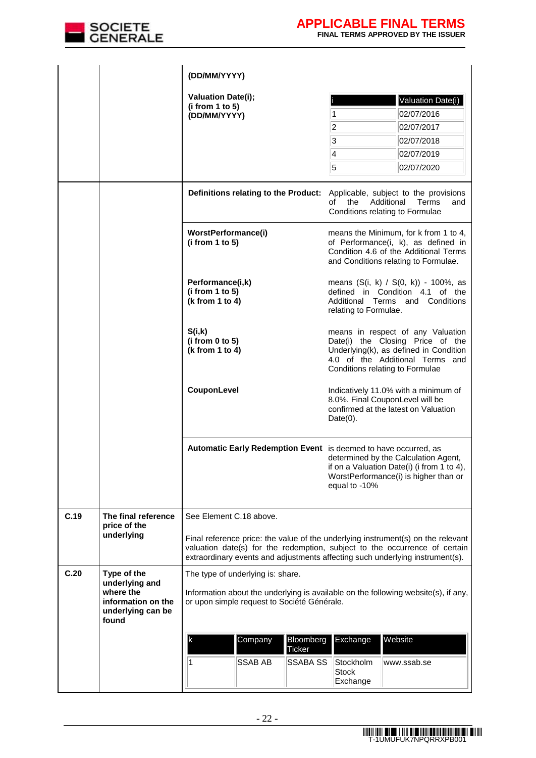

|      |                                                                                                | (DD/MM/YYYY)                                                                                                                                                                                                    |                |                                                                                                                                                                                       |                                                                                                                                                               |                   |  |
|------|------------------------------------------------------------------------------------------------|-----------------------------------------------------------------------------------------------------------------------------------------------------------------------------------------------------------------|----------------|---------------------------------------------------------------------------------------------------------------------------------------------------------------------------------------|---------------------------------------------------------------------------------------------------------------------------------------------------------------|-------------------|--|
|      |                                                                                                | <b>Valuation Date(i);</b>                                                                                                                                                                                       |                |                                                                                                                                                                                       |                                                                                                                                                               | Valuation Date(i) |  |
|      |                                                                                                | (i from 1 to 5)<br>(DD/MM/YYYY)                                                                                                                                                                                 |                |                                                                                                                                                                                       |                                                                                                                                                               | 02/07/2016        |  |
|      |                                                                                                |                                                                                                                                                                                                                 |                |                                                                                                                                                                                       | $\overline{\mathbf{c}}$                                                                                                                                       | 02/07/2017        |  |
|      |                                                                                                |                                                                                                                                                                                                                 |                |                                                                                                                                                                                       | 3                                                                                                                                                             | 02/07/2018        |  |
|      |                                                                                                |                                                                                                                                                                                                                 |                |                                                                                                                                                                                       | 4                                                                                                                                                             | 02/07/2019        |  |
|      |                                                                                                |                                                                                                                                                                                                                 |                |                                                                                                                                                                                       | 5                                                                                                                                                             | 02/07/2020        |  |
|      |                                                                                                |                                                                                                                                                                                                                 |                | Definitions relating to the Product: Applicable, subject to the provisions<br>Additional<br>the<br>Terms<br>οf<br>and<br>Conditions relating to Formulae                              |                                                                                                                                                               |                   |  |
|      |                                                                                                | WorstPerformance(i)<br>(i from 1 to 5)                                                                                                                                                                          |                |                                                                                                                                                                                       | means the Minimum, for k from 1 to 4,<br>of Performance(i, k), as defined in<br>Condition 4.6 of the Additional Terms<br>and Conditions relating to Formulae. |                   |  |
|      |                                                                                                | Performance(i,k)<br>(i from 1 to 5)<br>(k from 1 to 4)                                                                                                                                                          |                |                                                                                                                                                                                       | means (S(i, k) / S(0, k)) - 100%, as<br>defined in Condition 4.1 of the<br>Terms and Conditions<br>Additional<br>relating to Formulae.                        |                   |  |
|      |                                                                                                | S(i,k)<br>(i from $0$ to $5$ )<br>(k from 1 to 4)                                                                                                                                                               |                | means in respect of any Valuation<br>Date(i) the Closing Price of the<br>Underlying(k), as defined in Condition<br>4.0 of the Additional Terms and<br>Conditions relating to Formulae |                                                                                                                                                               |                   |  |
|      |                                                                                                | CouponLevel                                                                                                                                                                                                     |                | Indicatively 11.0% with a minimum of<br>8.0%. Final CouponLevel will be<br>confirmed at the latest on Valuation<br>$Date(0)$ .                                                        |                                                                                                                                                               |                   |  |
|      |                                                                                                | Automatic Early Redemption Event is deemed to have occurred, as<br>determined by the Calculation Agent,<br>if on a Valuation Date(i) (i from 1 to 4),<br>WorstPerformance(i) is higher than or<br>equal to -10% |                |                                                                                                                                                                                       |                                                                                                                                                               |                   |  |
| C.19 | The final reference<br>price of the<br>underlying                                              | See Element C.18 above.<br>Final reference price: the value of the underlying instrument(s) on the relevant                                                                                                     |                |                                                                                                                                                                                       |                                                                                                                                                               |                   |  |
|      |                                                                                                | valuation date(s) for the redemption, subject to the occurrence of certain<br>extraordinary events and adjustments affecting such underlying instrument(s).                                                     |                |                                                                                                                                                                                       |                                                                                                                                                               |                   |  |
| C.20 | Type of the<br>underlying and<br>where the<br>information on the<br>underlying can be<br>found | The type of underlying is: share.<br>Information about the underlying is available on the following website(s), if any,<br>or upon simple request to Société Générale.                                          |                |                                                                                                                                                                                       |                                                                                                                                                               |                   |  |
|      |                                                                                                | lk                                                                                                                                                                                                              | Company        | Bloomberg                                                                                                                                                                             | Exchange                                                                                                                                                      | Website           |  |
|      |                                                                                                | 1                                                                                                                                                                                                               | <b>SSAB AB</b> | <b>Ticker</b><br><b>SSABA SS</b>                                                                                                                                                      | Stockholm<br><b>Stock</b><br>Exchange                                                                                                                         | www.ssab.se       |  |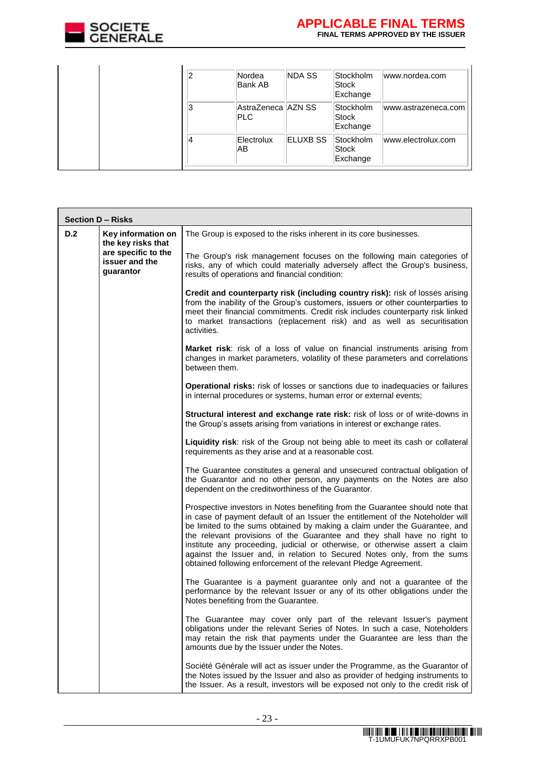

 $\blacksquare$ 

### **APPLICABLE FINAL TERMS FINAL TERMS APPROVED BY THE ISSUER**

 $\overline{\phantom{0}}$ 

| 2  | Nordea<br>Bank AB                | <b>NDA SS</b>   | Stockholm<br>Stock<br>Exchange | www.nordea.com      |
|----|----------------------------------|-----------------|--------------------------------|---------------------|
| 3  | AstraZeneca AZN SS<br><b>PLC</b> |                 | Stockholm<br>Stock<br>Exchange | www.astrazeneca.com |
| 14 | Electrolux<br>ΙAΒ                | <b>ELUXB SS</b> | Stockholm<br>Stock<br>Exchange | www.electrolux.com  |

|     | <b>Section D - Risks</b>                           |                                                                                                                                                                                                                                                                                                                                                                                                                                                                                                                                                           |  |  |  |
|-----|----------------------------------------------------|-----------------------------------------------------------------------------------------------------------------------------------------------------------------------------------------------------------------------------------------------------------------------------------------------------------------------------------------------------------------------------------------------------------------------------------------------------------------------------------------------------------------------------------------------------------|--|--|--|
| D.2 | Key information on<br>the key risks that           | The Group is exposed to the risks inherent in its core businesses.                                                                                                                                                                                                                                                                                                                                                                                                                                                                                        |  |  |  |
|     | are specific to the<br>issuer and the<br>quarantor | The Group's risk management focuses on the following main categories of<br>risks, any of which could materially adversely affect the Group's business,<br>results of operations and financial condition:                                                                                                                                                                                                                                                                                                                                                  |  |  |  |
|     |                                                    | Credit and counterparty risk (including country risk): risk of losses arising<br>from the inability of the Group's customers, issuers or other counterparties to<br>meet their financial commitments. Credit risk includes counterparty risk linked<br>to market transactions (replacement risk) and as well as securitisation<br>activities.                                                                                                                                                                                                             |  |  |  |
|     |                                                    | <b>Market risk:</b> risk of a loss of value on financial instruments arising from<br>changes in market parameters, volatility of these parameters and correlations<br>between them.                                                                                                                                                                                                                                                                                                                                                                       |  |  |  |
|     |                                                    | Operational risks: risk of losses or sanctions due to inadequacies or failures<br>in internal procedures or systems, human error or external events;                                                                                                                                                                                                                                                                                                                                                                                                      |  |  |  |
|     |                                                    | Structural interest and exchange rate risk: risk of loss or of write-downs in<br>the Group's assets arising from variations in interest or exchange rates.                                                                                                                                                                                                                                                                                                                                                                                                |  |  |  |
|     |                                                    | Liquidity risk: risk of the Group not being able to meet its cash or collateral<br>requirements as they arise and at a reasonable cost.                                                                                                                                                                                                                                                                                                                                                                                                                   |  |  |  |
|     |                                                    | The Guarantee constitutes a general and unsecured contractual obligation of<br>the Guarantor and no other person, any payments on the Notes are also<br>dependent on the creditworthiness of the Guarantor.                                                                                                                                                                                                                                                                                                                                               |  |  |  |
|     |                                                    | Prospective investors in Notes benefiting from the Guarantee should note that<br>in case of payment default of an Issuer the entitlement of the Noteholder will<br>be limited to the sums obtained by making a claim under the Guarantee, and<br>the relevant provisions of the Guarantee and they shall have no right to<br>institute any proceeding, judicial or otherwise, or otherwise assert a claim<br>against the Issuer and, in relation to Secured Notes only, from the sums<br>obtained following enforcement of the relevant Pledge Agreement. |  |  |  |
|     |                                                    | The Guarantee is a payment guarantee only and not a guarantee of the<br>performance by the relevant Issuer or any of its other obligations under the<br>Notes benefiting from the Guarantee.                                                                                                                                                                                                                                                                                                                                                              |  |  |  |
|     |                                                    | The Guarantee may cover only part of the relevant Issuer's payment<br>obligations under the relevant Series of Notes. In such a case, Noteholders<br>may retain the risk that payments under the Guarantee are less than the<br>amounts due by the Issuer under the Notes.                                                                                                                                                                                                                                                                                |  |  |  |
|     |                                                    | Société Générale will act as issuer under the Programme, as the Guarantor of<br>the Notes issued by the Issuer and also as provider of hedging instruments to<br>the Issuer. As a result, investors will be exposed not only to the credit risk of                                                                                                                                                                                                                                                                                                        |  |  |  |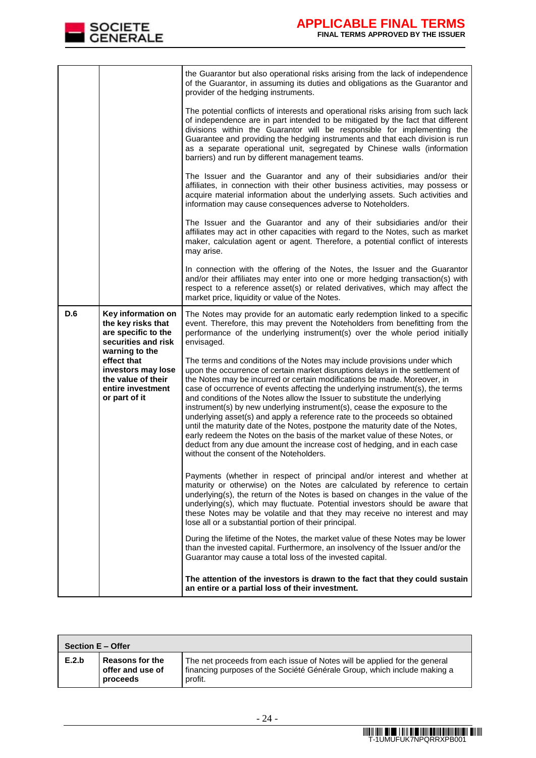

|     |                                                                                                          | the Guarantor but also operational risks arising from the lack of independence<br>of the Guarantor, in assuming its duties and obligations as the Guarantor and<br>provider of the hedging instruments.                                                                                                                                                                                                                                                                                                                                                                                                                                                                                                                                                                                                                                                |
|-----|----------------------------------------------------------------------------------------------------------|--------------------------------------------------------------------------------------------------------------------------------------------------------------------------------------------------------------------------------------------------------------------------------------------------------------------------------------------------------------------------------------------------------------------------------------------------------------------------------------------------------------------------------------------------------------------------------------------------------------------------------------------------------------------------------------------------------------------------------------------------------------------------------------------------------------------------------------------------------|
|     |                                                                                                          | The potential conflicts of interests and operational risks arising from such lack<br>of independence are in part intended to be mitigated by the fact that different<br>divisions within the Guarantor will be responsible for implementing the<br>Guarantee and providing the hedging instruments and that each division is run<br>as a separate operational unit, segregated by Chinese walls (information<br>barriers) and run by different management teams.                                                                                                                                                                                                                                                                                                                                                                                       |
|     |                                                                                                          | The Issuer and the Guarantor and any of their subsidiaries and/or their<br>affiliates, in connection with their other business activities, may possess or<br>acquire material information about the underlying assets. Such activities and<br>information may cause consequences adverse to Noteholders.                                                                                                                                                                                                                                                                                                                                                                                                                                                                                                                                               |
|     |                                                                                                          | The Issuer and the Guarantor and any of their subsidiaries and/or their<br>affiliates may act in other capacities with regard to the Notes, such as market<br>maker, calculation agent or agent. Therefore, a potential conflict of interests<br>may arise.                                                                                                                                                                                                                                                                                                                                                                                                                                                                                                                                                                                            |
|     |                                                                                                          | In connection with the offering of the Notes, the Issuer and the Guarantor<br>and/or their affiliates may enter into one or more hedging transaction(s) with<br>respect to a reference asset(s) or related derivatives, which may affect the<br>market price, liquidity or value of the Notes.                                                                                                                                                                                                                                                                                                                                                                                                                                                                                                                                                         |
| D.6 | Key information on<br>the key risks that<br>are specific to the<br>securities and risk<br>warning to the | The Notes may provide for an automatic early redemption linked to a specific<br>event. Therefore, this may prevent the Noteholders from benefitting from the<br>performance of the underlying instrument(s) over the whole period initially<br>envisaged.                                                                                                                                                                                                                                                                                                                                                                                                                                                                                                                                                                                              |
|     | effect that<br>investors may lose<br>the value of their<br>entire investment<br>or part of it            | The terms and conditions of the Notes may include provisions under which<br>upon the occurrence of certain market disruptions delays in the settlement of<br>the Notes may be incurred or certain modifications be made. Moreover, in<br>case of occurrence of events affecting the underlying instrument(s), the terms<br>and conditions of the Notes allow the Issuer to substitute the underlying<br>instrument(s) by new underlying instrument(s), cease the exposure to the<br>underlying asset(s) and apply a reference rate to the proceeds so obtained<br>until the maturity date of the Notes, postpone the maturity date of the Notes,<br>early redeem the Notes on the basis of the market value of these Notes, or<br>deduct from any due amount the increase cost of hedging, and in each case<br>without the consent of the Noteholders. |
|     |                                                                                                          | Payments (whether in respect of principal and/or interest and whether at<br>maturity or otherwise) on the Notes are calculated by reference to certain<br>underlying(s), the return of the Notes is based on changes in the value of the<br>underlying(s), which may fluctuate. Potential investors should be aware that<br>these Notes may be volatile and that they may receive no interest and may<br>lose all or a substantial portion of their principal.                                                                                                                                                                                                                                                                                                                                                                                         |
|     |                                                                                                          | During the lifetime of the Notes, the market value of these Notes may be lower<br>than the invested capital. Furthermore, an insolvency of the Issuer and/or the<br>Guarantor may cause a total loss of the invested capital.                                                                                                                                                                                                                                                                                                                                                                                                                                                                                                                                                                                                                          |
|     |                                                                                                          | The attention of the investors is drawn to the fact that they could sustain<br>an entire or a partial loss of their investment.                                                                                                                                                                                                                                                                                                                                                                                                                                                                                                                                                                                                                                                                                                                        |

| <b>Section E - Offer</b> |                                                        |                                                                                                                                                                  |  |
|--------------------------|--------------------------------------------------------|------------------------------------------------------------------------------------------------------------------------------------------------------------------|--|
| E.2.b                    | <b>Reasons for the</b><br>offer and use of<br>proceeds | The net proceeds from each issue of Notes will be applied for the general<br>financing purposes of the Société Générale Group, which include making a<br>profit. |  |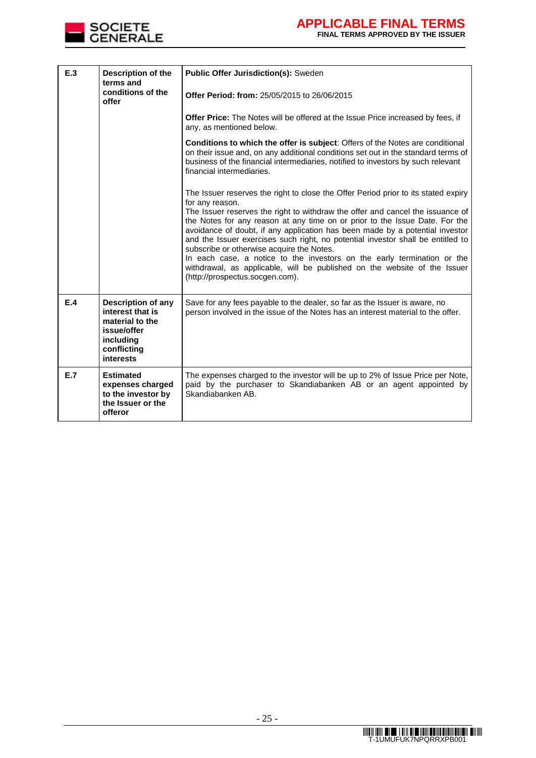

| E.3 | <b>Description of the</b><br>terms and                                                                                   | Public Offer Jurisdiction(s): Sweden                                                                                                                                                                                                                                                                                                                                                                                                                |
|-----|--------------------------------------------------------------------------------------------------------------------------|-----------------------------------------------------------------------------------------------------------------------------------------------------------------------------------------------------------------------------------------------------------------------------------------------------------------------------------------------------------------------------------------------------------------------------------------------------|
|     | conditions of the<br>offer                                                                                               | Offer Period: from: 25/05/2015 to 26/06/2015                                                                                                                                                                                                                                                                                                                                                                                                        |
|     |                                                                                                                          | Offer Price: The Notes will be offered at the Issue Price increased by fees, if<br>any, as mentioned below.                                                                                                                                                                                                                                                                                                                                         |
|     |                                                                                                                          | Conditions to which the offer is subject: Offers of the Notes are conditional<br>on their issue and, on any additional conditions set out in the standard terms of<br>business of the financial intermediaries, notified to investors by such relevant<br>financial intermediaries.                                                                                                                                                                 |
|     |                                                                                                                          | The Issuer reserves the right to close the Offer Period prior to its stated expiry<br>for any reason.<br>The Issuer reserves the right to withdraw the offer and cancel the issuance of                                                                                                                                                                                                                                                             |
|     |                                                                                                                          | the Notes for any reason at any time on or prior to the Issue Date. For the<br>avoidance of doubt, if any application has been made by a potential investor<br>and the Issuer exercises such right, no potential investor shall be entitled to<br>subscribe or otherwise acquire the Notes.<br>In each case, a notice to the investors on the early termination or the<br>withdrawal, as applicable, will be published on the website of the Issuer |
|     |                                                                                                                          | (http://prospectus.socgen.com).                                                                                                                                                                                                                                                                                                                                                                                                                     |
| E.4 | <b>Description of any</b><br>interest that is<br>material to the<br>issue/offer<br>including<br>conflicting<br>interests | Save for any fees payable to the dealer, so far as the Issuer is aware, no<br>person involved in the issue of the Notes has an interest material to the offer.                                                                                                                                                                                                                                                                                      |
| E.7 | <b>Estimated</b><br>expenses charged<br>to the investor by<br>the Issuer or the<br>offeror                               | The expenses charged to the investor will be up to 2% of Issue Price per Note,<br>paid by the purchaser to Skandiabanken AB or an agent appointed by<br>Skandiabanken AB.                                                                                                                                                                                                                                                                           |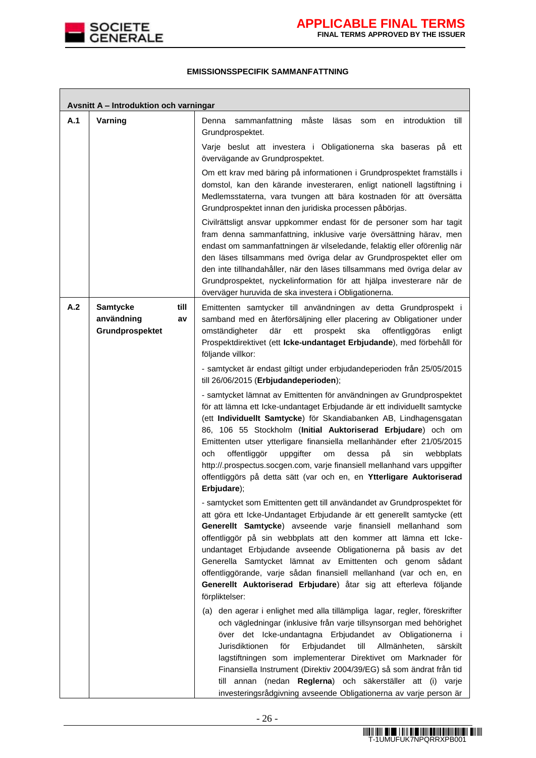

٦

## **EMISSIONSSPECIFIK SAMMANFATTNING**

|     | Avsnitt A - Introduktion och varningar                         |                                                                                                                                                                                                                                                                                                                                                                                                                                                                                                                                                                                                                                                                 |  |  |
|-----|----------------------------------------------------------------|-----------------------------------------------------------------------------------------------------------------------------------------------------------------------------------------------------------------------------------------------------------------------------------------------------------------------------------------------------------------------------------------------------------------------------------------------------------------------------------------------------------------------------------------------------------------------------------------------------------------------------------------------------------------|--|--|
| A.1 | Varning                                                        | måste<br>Denna<br>sammanfattning<br>läsas<br>introduktion<br>till<br>som<br>en<br>Grundprospektet.                                                                                                                                                                                                                                                                                                                                                                                                                                                                                                                                                              |  |  |
|     |                                                                | Varje beslut att investera i Obligationerna ska baseras på ett<br>övervägande av Grundprospektet.                                                                                                                                                                                                                                                                                                                                                                                                                                                                                                                                                               |  |  |
|     |                                                                | Om ett krav med bäring på informationen i Grundprospektet framställs i<br>domstol, kan den kärande investeraren, enligt nationell lagstiftning i<br>Medlemsstaterna, vara tvungen att bära kostnaden för att översätta<br>Grundprospektet innan den juridiska processen påbörjas.<br>Civilrättsligt ansvar uppkommer endast för de personer som har tagit                                                                                                                                                                                                                                                                                                       |  |  |
|     |                                                                | fram denna sammanfattning, inklusive varje översättning härav, men<br>endast om sammanfattningen är vilseledande, felaktig eller oförenlig när<br>den läses tillsammans med övriga delar av Grundprospektet eller om<br>den inte tillhandahåller, när den läses tillsammans med övriga delar av<br>Grundprospektet, nyckelinformation för att hjälpa investerare när de<br>överväger huruvida de ska investera i Obligationerna.                                                                                                                                                                                                                                |  |  |
| A.2 | <b>Samtycke</b><br>till<br>användning<br>av<br>Grundprospektet | Emittenten samtycker till användningen av detta Grundprospekt i<br>samband med en återförsäljning eller placering av Obligationer under<br>där<br>omständigheter<br>ett<br>prospekt<br>ska<br>offentliggöras<br>enligt<br>Prospektdirektivet (ett Icke-undantaget Erbjudande), med förbehåll för<br>följande villkor:                                                                                                                                                                                                                                                                                                                                           |  |  |
|     |                                                                | - samtycket är endast giltigt under erbjudandeperioden från 25/05/2015<br>till 26/06/2015 (Erbjudandeperioden);                                                                                                                                                                                                                                                                                                                                                                                                                                                                                                                                                 |  |  |
|     |                                                                | - samtycket lämnat av Emittenten för användningen av Grundprospektet<br>för att lämna ett Icke-undantaget Erbjudande är ett individuellt samtycke<br>(ett Individuellt Samtycke) för Skandiabanken AB, Lindhagensgatan<br>86, 106 55 Stockholm (Initial Auktoriserad Erbjudare) och om<br>Emittenten utser ytterligare finansiella mellanhänder efter 21/05/2015<br>offentliggör<br>på<br>och<br>uppgifter<br>om<br>dessa<br>sin<br>webbplats<br>http://.prospectus.socgen.com, varje finansiell mellanhand vars uppgifter<br>offentliggörs på detta sätt (var och en, en Ytterligare Auktoriserad<br>Erbjudare);                                               |  |  |
|     |                                                                | - samtycket som Emittenten gett till användandet av Grundprospektet för<br>att göra ett Icke-Undantaget Erbjudande är ett generellt samtycke (ett<br>Generellt Samtycke) avseende varje finansiell mellanhand som<br>offentliggör på sin webbplats att den kommer att lämna ett Icke-<br>undantaget Erbjudande avseende Obligationerna på basis av det<br>Generella Samtycket lämnat av Emittenten och genom sådant<br>offentliggörande, varje sådan finansiell mellanhand (var och en, en<br>Generellt Auktoriserad Erbjudare) åtar sig att efterleva följande<br>förpliktelser:<br>(a) den agerar i enlighet med alla tillämpliga lagar, regler, föreskrifter |  |  |
|     |                                                                | och vägledningar (inklusive från varje tillsynsorgan med behörighet<br>över det Icke-undantagna Erbjudandet av Obligationerna i<br>Jurisdiktionen<br>för<br>Erbjudandet<br>till<br>Allmänheten,<br>särskilt<br>lagstiftningen som implementerar Direktivet om Marknader för<br>Finansiella Instrument (Direktiv 2004/39/EG) så som ändrat från tid<br>till annan (nedan Reglerna) och säkerställer att (i) varje<br>investeringsrådgivning avseende Obligationerna av varje person är                                                                                                                                                                           |  |  |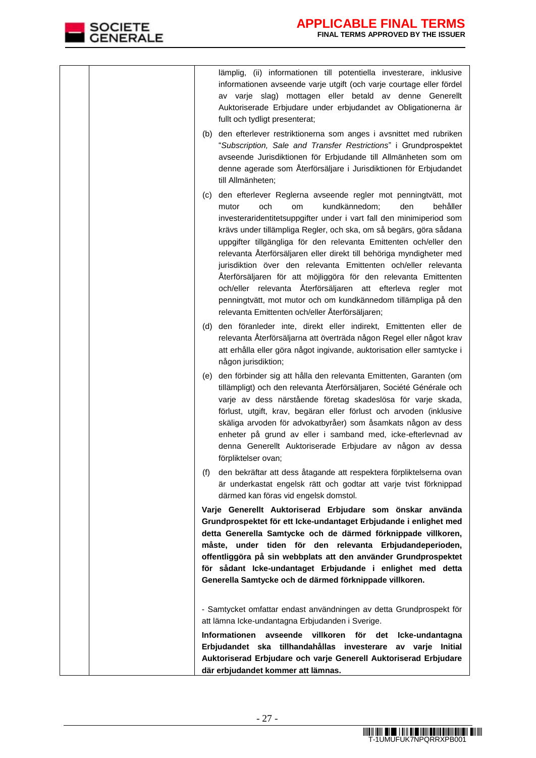| lämplig, (ii) informationen till potentiella investerare, inklusive<br>informationen avseende varje utgift (och varje courtage eller fördel<br>av varje slag) mottagen eller betald av denne Generellt<br>Auktoriserade Erbjudare under erbjudandet av Obligationerna är<br>fullt och tydligt presenterat;<br>(b) den efterlever restriktionerna som anges i avsnittet med rubriken<br>"Subscription, Sale and Transfer Restrictions" i Grundprospektet<br>avseende Jurisdiktionen för Erbjudande till Allmänheten som om<br>denne agerade som Återförsäljare i Jurisdiktionen för Erbjudandet                                                                                                                                                                           |
|--------------------------------------------------------------------------------------------------------------------------------------------------------------------------------------------------------------------------------------------------------------------------------------------------------------------------------------------------------------------------------------------------------------------------------------------------------------------------------------------------------------------------------------------------------------------------------------------------------------------------------------------------------------------------------------------------------------------------------------------------------------------------|
| till Allmänheten;<br>den efterlever Reglerna avseende regler mot penningtvätt, mot<br>(c)<br>och<br>kundkännedom;<br>behåller<br>mutor<br>den<br>om<br>investeraridentitetsuppgifter under i vart fall den minimiperiod som<br>krävs under tillämpliga Regler, och ska, om så begärs, göra sådana<br>uppgifter tillgängliga för den relevanta Emittenten och/eller den<br>relevanta Återförsäljaren eller direkt till behöriga myndigheter med<br>jurisdiktion över den relevanta Emittenten och/eller relevanta<br>Återförsäljaren för att möjliggöra för den relevanta Emittenten<br>och/eller relevanta Återförsäljaren att efterleva regler mot<br>penningtvätt, mot mutor och om kundkännedom tillämpliga på den<br>relevanta Emittenten och/eller Återförsäljaren; |
| (d) den föranleder inte, direkt eller indirekt, Emittenten eller de<br>relevanta Återförsäljarna att överträda någon Regel eller något krav<br>att erhålla eller göra något ingivande, auktorisation eller samtycke i<br>någon jurisdiktion;                                                                                                                                                                                                                                                                                                                                                                                                                                                                                                                             |
| (e) den förbinder sig att hålla den relevanta Emittenten, Garanten (om<br>tillämpligt) och den relevanta Återförsäljaren, Société Générale och<br>varje av dess närstående företag skadeslösa för varje skada,<br>förlust, utgift, krav, begäran eller förlust och arvoden (inklusive<br>skäliga arvoden för advokatbyråer) som åsamkats någon av dess<br>enheter på grund av eller i samband med, icke-efterlevnad av<br>denna Generellt Auktoriserade Erbjudare av någon av dessa<br>förpliktelser ovan;                                                                                                                                                                                                                                                               |
| den bekräftar att dess åtagande att respektera förpliktelserna ovan<br>(f)<br>är underkastat engelsk rätt och godtar att varje tvist förknippad<br>därmed kan föras vid engelsk domstol.                                                                                                                                                                                                                                                                                                                                                                                                                                                                                                                                                                                 |
| Varje Generellt Auktoriserad Erbjudare som önskar använda<br>Grundprospektet för ett Icke-undantaget Erbjudande i enlighet med<br>detta Generella Samtycke och de därmed förknippade villkoren,<br>måste, under tiden för den relevanta Erbjudandeperioden,<br>offentliggöra på sin webbplats att den använder Grundprospektet<br>för sådant Icke-undantaget Erbjudande i enlighet med detta<br>Generella Samtycke och de därmed förknippade villkoren.                                                                                                                                                                                                                                                                                                                  |
| - Samtycket omfattar endast användningen av detta Grundprospekt för<br>att lämna Icke-undantagna Erbjudanden i Sverige.                                                                                                                                                                                                                                                                                                                                                                                                                                                                                                                                                                                                                                                  |
| Informationen avseende villkoren för<br>det<br>Icke-undantagna<br>Erbjudandet ska tillhandahållas investerare av varje Initial<br>Auktoriserad Erbjudare och varje Generell Auktoriserad Erbjudare<br>där erbjudandet kommer att lämnas.                                                                                                                                                                                                                                                                                                                                                                                                                                                                                                                                 |

SOCIETE<br>GENERALE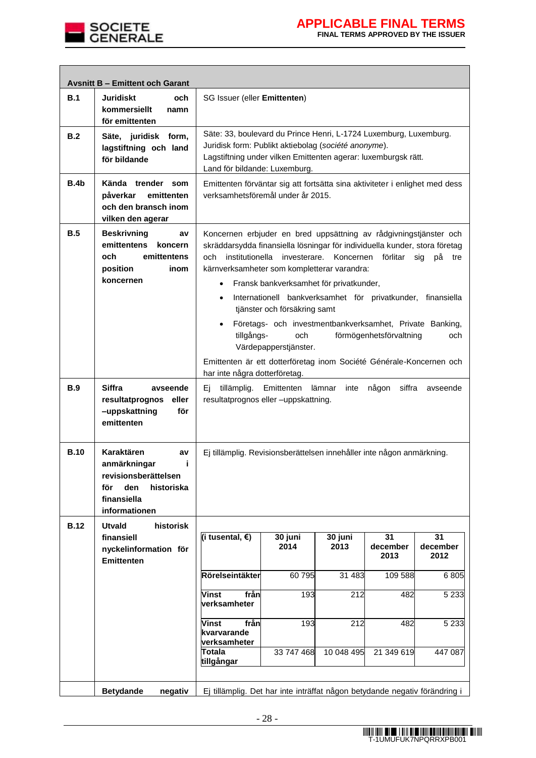

|             | <b>Avsnitt B - Emittent och Garant</b>                                                                                     |                                                                                                                                                                                                                                                                                                                                                                                                                                                                                                                                                                                                                                                                                                                         |                              |            |            |         |
|-------------|----------------------------------------------------------------------------------------------------------------------------|-------------------------------------------------------------------------------------------------------------------------------------------------------------------------------------------------------------------------------------------------------------------------------------------------------------------------------------------------------------------------------------------------------------------------------------------------------------------------------------------------------------------------------------------------------------------------------------------------------------------------------------------------------------------------------------------------------------------------|------------------------------|------------|------------|---------|
| B.1         | <b>Juridiskt</b><br>och<br>kommersiellt<br>namn<br>för emittenten                                                          |                                                                                                                                                                                                                                                                                                                                                                                                                                                                                                                                                                                                                                                                                                                         | SG Issuer (eller Emittenten) |            |            |         |
| B.2         | Säte, juridisk form,<br>lagstiftning och land<br>för bildande                                                              | Säte: 33, boulevard du Prince Henri, L-1724 Luxemburg, Luxemburg.<br>Juridisk form: Publikt aktiebolag (société anonyme).<br>Lagstiftning under vilken Emittenten agerar: luxemburgsk rätt.<br>Land för bildande: Luxemburg.                                                                                                                                                                                                                                                                                                                                                                                                                                                                                            |                              |            |            |         |
| B.4b        | Kända trender som<br>påverkar<br>emittenten<br>och den bransch inom<br>vilken den agerar                                   | Emittenten förväntar sig att fortsätta sina aktiviteter i enlighet med dess<br>verksamhetsföremål under år 2015.                                                                                                                                                                                                                                                                                                                                                                                                                                                                                                                                                                                                        |                              |            |            |         |
| B.5         | <b>Beskrivning</b><br>av<br>emittentens<br>koncern<br>och<br>emittentens<br>position<br>inom<br>koncernen                  | Koncernen erbjuder en bred uppsättning av rådgivningstjänster och<br>skräddarsydda finansiella lösningar för individuella kunder, stora företag<br>institutionella<br>och<br>investerare.<br>Koncernen förlitar<br>sig<br>рå<br>tre<br>kärnverksamheter som kompletterar varandra:<br>Fransk bankverksamhet för privatkunder,<br>$\bullet$<br>Internationell bankverksamhet för privatkunder, finansiella<br>$\bullet$<br>tjänster och försäkring samt<br>Företags- och investmentbankverksamhet, Private Banking,<br>$\bullet$<br>tillgångs-<br>förmögenhetsförvaltning<br>och<br>och<br>Värdepapperstjänster.<br>Emittenten är ett dotterföretag inom Société Générale-Koncernen och<br>har inte några dotterföretag. |                              |            |            |         |
| <b>B.9</b>  | <b>Siffra</b><br>avseende<br>resultatprognos<br>eller<br>-uppskattning<br>för<br>emittenten                                | tillämplig. Emittenten<br>lämnar<br>inte<br>någon<br>siffra<br>avseende<br>Ej.<br>resultatprognos eller -uppskattning.                                                                                                                                                                                                                                                                                                                                                                                                                                                                                                                                                                                                  |                              |            |            |         |
| <b>B.10</b> | Karaktären<br>av<br>anmärkningar<br>j.<br>revisionsberättelsen<br>den<br>för<br>historiska<br>finansiella<br>informationen | Ej tillämplig. Revisionsberättelsen innehåller inte någon anmärkning.                                                                                                                                                                                                                                                                                                                                                                                                                                                                                                                                                                                                                                                   |                              |            |            |         |
| <b>B.12</b> | <b>Utvald</b><br>historisk                                                                                                 |                                                                                                                                                                                                                                                                                                                                                                                                                                                                                                                                                                                                                                                                                                                         |                              |            |            |         |
|             | finansiell<br>nyckelinformation för<br><b>Emittenten</b>                                                                   | (i tusental, €)<br>30 juni<br>30 juni<br>31<br>31<br>december<br>2014<br>2013<br>december<br>2013<br>2012                                                                                                                                                                                                                                                                                                                                                                                                                                                                                                                                                                                                               |                              |            |            |         |
|             |                                                                                                                            | Rörelseintäkter                                                                                                                                                                                                                                                                                                                                                                                                                                                                                                                                                                                                                                                                                                         | 60795                        | 31 483     | 109 588    | 6805    |
|             |                                                                                                                            | Vinst<br>från<br>verksamheter                                                                                                                                                                                                                                                                                                                                                                                                                                                                                                                                                                                                                                                                                           | 193                          | 212        | 482        | 5 2 3 3 |
|             |                                                                                                                            | från<br>Vinst<br>kvarvarande<br>verksamheter                                                                                                                                                                                                                                                                                                                                                                                                                                                                                                                                                                                                                                                                            | 193                          | 212        | 482        | 5 2 3 3 |
|             |                                                                                                                            | <b>Totala</b><br>tillgångar                                                                                                                                                                                                                                                                                                                                                                                                                                                                                                                                                                                                                                                                                             | 33 747 468                   | 10 048 495 | 21 349 619 | 447 087 |
|             | <b>Betydande</b><br>negativ                                                                                                | Ej tillämplig. Det har inte inträffat någon betydande negativ förändring i                                                                                                                                                                                                                                                                                                                                                                                                                                                                                                                                                                                                                                              |                              |            |            |         |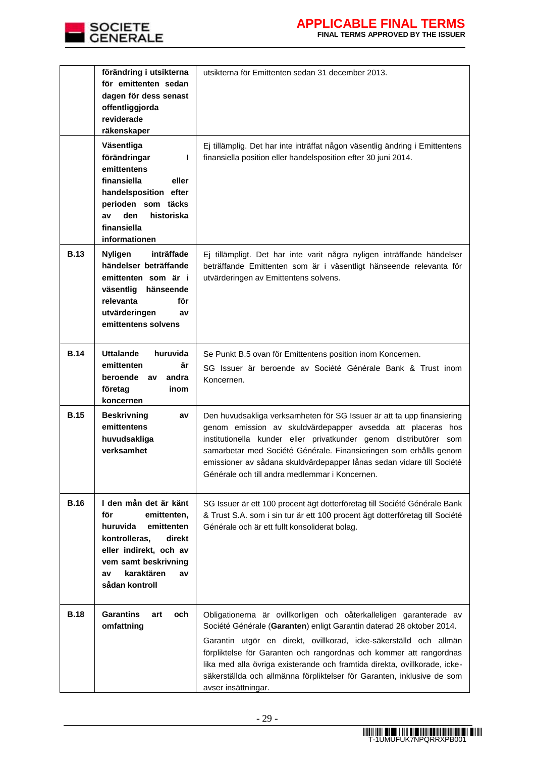

|             | förändring i utsikterna<br>för emittenten sedan<br>dagen för dess senast<br>offentliggjorda<br>reviderade<br>räkenskaper                                                                       | utsikterna för Emittenten sedan 31 december 2013.                                                                                                                                                                                                                                                                                                                                                                                                                   |
|-------------|------------------------------------------------------------------------------------------------------------------------------------------------------------------------------------------------|---------------------------------------------------------------------------------------------------------------------------------------------------------------------------------------------------------------------------------------------------------------------------------------------------------------------------------------------------------------------------------------------------------------------------------------------------------------------|
|             | Väsentliga<br>förändringar<br>т<br>emittentens<br>finansiella<br>eller<br>handelsposition efter<br>perioden som täcks<br>den<br>historiska<br>av<br>finansiella<br>informationen               | Ej tillämplig. Det har inte inträffat någon väsentlig ändring i Emittentens<br>finansiella position eller handelsposition efter 30 juni 2014.                                                                                                                                                                                                                                                                                                                       |
| <b>B.13</b> | inträffade<br><b>Nyligen</b><br>händelser beträffande<br>emittenten som är i<br>väsentlig hänseende<br>relevanta<br>för<br>utvärderingen<br>av<br>emittentens solvens                          | Ej tillämpligt. Det har inte varit några nyligen inträffande händelser<br>beträffande Emittenten som är i väsentligt hänseende relevanta för<br>utvärderingen av Emittentens solvens.                                                                                                                                                                                                                                                                               |
| <b>B.14</b> | <b>Uttalande</b><br>huruvida<br>emittenten<br>är<br>beroende<br>andra<br>av<br>företag<br>inom<br>koncernen                                                                                    | Se Punkt B.5 ovan för Emittentens position inom Koncernen.<br>SG Issuer är beroende av Société Générale Bank & Trust inom<br>Koncernen.                                                                                                                                                                                                                                                                                                                             |
| <b>B.15</b> | <b>Beskrivning</b><br>av<br>emittentens<br>huvudsakliga<br>verksamhet                                                                                                                          | Den huvudsakliga verksamheten för SG Issuer är att ta upp finansiering<br>genom emission av skuldvärdepapper avsedda att placeras hos<br>institutionella kunder eller privatkunder genom distributörer som<br>samarbetar med Société Générale. Finansieringen som erhålls genom<br>emissioner av sådana skuldvärdepapper lånas sedan vidare till Société<br>Générale och till andra medlemmar i Koncernen.                                                          |
| <b>B.16</b> | I den mån det är känt<br>för<br>emittenten,<br>huruvida<br>emittenten<br>kontrolleras,<br>direkt<br>eller indirekt, och av<br>vem samt beskrivning<br>karaktären<br>av<br>av<br>sådan kontroll | SG Issuer är ett 100 procent ägt dotterföretag till Société Générale Bank<br>& Trust S.A. som i sin tur är ett 100 procent ägt dotterföretag till Société<br>Générale och är ett fullt konsoliderat bolag.                                                                                                                                                                                                                                                          |
| <b>B.18</b> | <b>Garantins</b><br>och<br>art<br>omfattning                                                                                                                                                   | Obligationerna är ovillkorligen och oåterkalleligen garanterade av<br>Société Générale (Garanten) enligt Garantin daterad 28 oktober 2014.<br>Garantin utgör en direkt, ovillkorad, icke-säkerställd och allmän<br>förpliktelse för Garanten och rangordnas och kommer att rangordnas<br>lika med alla övriga existerande och framtida direkta, ovillkorade, icke-<br>säkerställda och allmänna förpliktelser för Garanten, inklusive de som<br>avser insättningar. |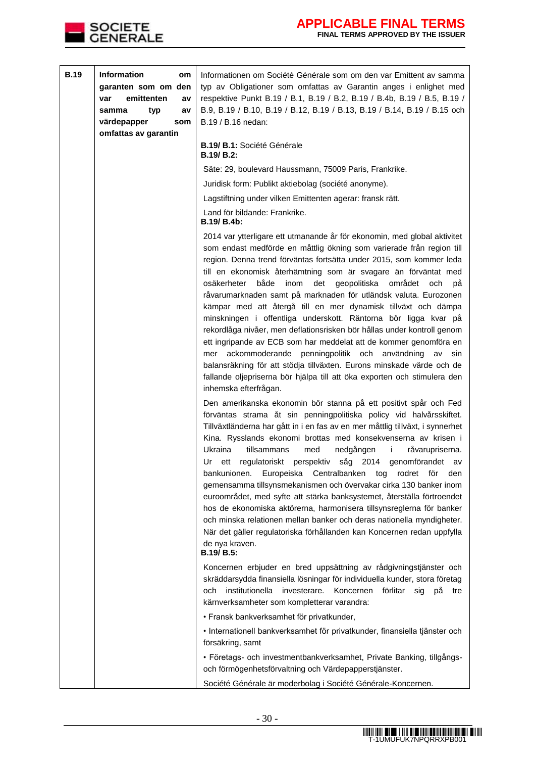

| <b>B.19</b> | Information<br>om<br>garanten som om den<br>emittenten<br>var<br>a٧<br>samma<br>typ<br>a۷<br>värdepapper<br>som<br>omfattas av garantin | Informationen om Société Générale som om den var Emittent av samma<br>typ av Obligationer som omfattas av Garantin anges i enlighet med<br>respektive Punkt B.19 / B.1, B.19 / B.2, B.19 / B.4b, B.19 / B.5, B.19 /<br>B.9, B.19 / B.10, B.19 / B.12, B.19 / B.13, B.19 / B.14, B.19 / B.15 och<br>B.19 / B.16 nedan:                                                                                                                                                                                                                                                                                                                                                                                                                                                                                                                                                                                                                                                          |
|-------------|-----------------------------------------------------------------------------------------------------------------------------------------|--------------------------------------------------------------------------------------------------------------------------------------------------------------------------------------------------------------------------------------------------------------------------------------------------------------------------------------------------------------------------------------------------------------------------------------------------------------------------------------------------------------------------------------------------------------------------------------------------------------------------------------------------------------------------------------------------------------------------------------------------------------------------------------------------------------------------------------------------------------------------------------------------------------------------------------------------------------------------------|
|             |                                                                                                                                         | B.19/ B.1: Société Générale<br>$B.19/B.2$ :                                                                                                                                                                                                                                                                                                                                                                                                                                                                                                                                                                                                                                                                                                                                                                                                                                                                                                                                    |
|             |                                                                                                                                         | Säte: 29, boulevard Haussmann, 75009 Paris, Frankrike.                                                                                                                                                                                                                                                                                                                                                                                                                                                                                                                                                                                                                                                                                                                                                                                                                                                                                                                         |
|             |                                                                                                                                         | Juridisk form: Publikt aktiebolag (société anonyme).                                                                                                                                                                                                                                                                                                                                                                                                                                                                                                                                                                                                                                                                                                                                                                                                                                                                                                                           |
|             |                                                                                                                                         | Lagstiftning under vilken Emittenten agerar: fransk rätt.                                                                                                                                                                                                                                                                                                                                                                                                                                                                                                                                                                                                                                                                                                                                                                                                                                                                                                                      |
|             |                                                                                                                                         | Land för bildande: Frankrike.<br>B.19/ B.4b:                                                                                                                                                                                                                                                                                                                                                                                                                                                                                                                                                                                                                                                                                                                                                                                                                                                                                                                                   |
|             |                                                                                                                                         | 2014 var ytterligare ett utmanande år för ekonomin, med global aktivitet<br>som endast medförde en måttlig ökning som varierade från region till<br>region. Denna trend förväntas fortsätta under 2015, som kommer leda<br>till en ekonomisk återhämtning som är svagare än förväntat med<br>både<br>det<br>osäkerheter<br>inom<br>geopolitiska<br>området<br>och<br>рá<br>råvarumarknaden samt på marknaden för utländsk valuta. Eurozonen<br>kämpar med att återgå till en mer dynamisk tillväxt och dämpa<br>minskningen i offentliga underskott. Räntorna bör ligga kvar på<br>rekordlåga nivåer, men deflationsrisken bör hållas under kontroll genom<br>ett ingripande av ECB som har meddelat att de kommer genomföra en<br>ackommoderande penningpolitik och användning<br>av sin<br>mer<br>balansräkning för att stödja tillväxten. Eurons minskade värde och de<br>fallande oljepriserna bör hjälpa till att öka exporten och stimulera den<br>inhemska efterfrågan. |
|             |                                                                                                                                         | Den amerikanska ekonomin bör stanna på ett positivt spår och Fed<br>förväntas strama åt sin penningpolitiska policy vid halvårsskiftet.<br>Tillväxtländerna har gått in i en fas av en mer måttlig tillväxt, i synnerhet<br>Kina. Rysslands ekonomi brottas med konsekvenserna av krisen i<br>Ukraina<br>tillsammans<br>med<br>nedgången<br>i.<br>råvarupriserna.<br>ett regulatoriskt perspektiv<br>såg 2014 genomförandet av<br>Ur<br>Europeiska<br>Centralbanken<br>bankunionen.<br>tog<br>rodret<br>den<br>tör<br>gemensamma tillsynsmekanismen och övervakar cirka 130 banker inom<br>euroområdet, med syfte att stärka banksystemet, återställa förtroendet<br>hos de ekonomiska aktörerna, harmonisera tillsynsreglerna för banker<br>och minska relationen mellan banker och deras nationella myndigheter.<br>När det gäller regulatoriska förhållanden kan Koncernen redan uppfylla<br>de nya kraven.<br>B.19/ B.5:                                                   |
|             |                                                                                                                                         | Koncernen erbjuder en bred uppsättning av rådgivningstjänster och<br>skräddarsydda finansiella lösningar för individuella kunder, stora företag<br>institutionella<br>investerare.<br>Koncernen<br>och<br>förlitar<br>sig<br>рă<br>tre<br>kärnverksamheter som kompletterar varandra:                                                                                                                                                                                                                                                                                                                                                                                                                                                                                                                                                                                                                                                                                          |
|             |                                                                                                                                         | · Fransk bankverksamhet för privatkunder,                                                                                                                                                                                                                                                                                                                                                                                                                                                                                                                                                                                                                                                                                                                                                                                                                                                                                                                                      |
|             |                                                                                                                                         | · Internationell bankverksamhet för privatkunder, finansiella tjänster och<br>försäkring, samt                                                                                                                                                                                                                                                                                                                                                                                                                                                                                                                                                                                                                                                                                                                                                                                                                                                                                 |
|             |                                                                                                                                         | · Företags- och investmentbankverksamhet, Private Banking, tillgångs-<br>och förmögenhetsförvaltning och Värdepapperstjänster.                                                                                                                                                                                                                                                                                                                                                                                                                                                                                                                                                                                                                                                                                                                                                                                                                                                 |
|             |                                                                                                                                         | Société Générale är moderbolag i Société Générale-Koncernen.                                                                                                                                                                                                                                                                                                                                                                                                                                                                                                                                                                                                                                                                                                                                                                                                                                                                                                                   |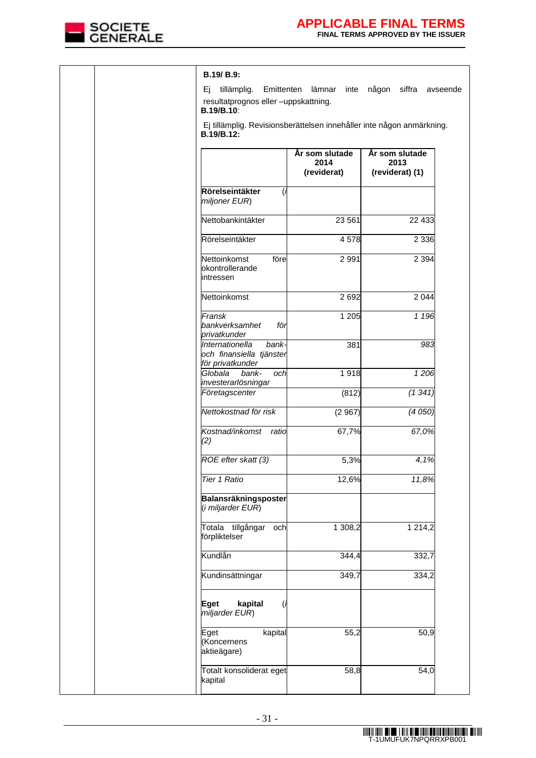

| B.19/ B.9:                                                                          |                     |                             |
|-------------------------------------------------------------------------------------|---------------------|-----------------------------|
| tillämplig.<br>Emittenten<br>Ei.<br>resultatprognos eller-uppskattning.             | lämnar<br>inte      | någon<br>siffra<br>avseende |
| B.19/B.10:                                                                          |                     |                             |
| Ej tillämplig. Revisionsberättelsen innehåller inte någon anmärkning.<br>B.19/B.12: |                     |                             |
| År som slutade<br>År som slutade                                                    |                     |                             |
|                                                                                     | 2014<br>(reviderat) | 2013<br>(reviderat) (1)     |
|                                                                                     |                     |                             |
| Rörelseintäkter<br>miljoner EUR)                                                    |                     |                             |
| Nettobankintäkter                                                                   | 23 561              | 22 4 33                     |
| Rörelseintäkter                                                                     | 4578                | 2 3 3 6                     |
| Nettoinkomst<br>före<br>okontrollerande<br>intressen                                | 2 9 9 1             | 2 3 9 4                     |
| Nettoinkomst                                                                        | 2 6 9 2             | 2 0 4 4                     |
| Fransk<br>bankverksamhet<br>för<br>privatkunder                                     | 1 205               | 1 1 9 6                     |
| Internationella<br>bank-<br>och finansiella tjänster<br>för privatkunder            | 381                 | 983                         |
| Globala<br>bank-<br>och                                                             | 1918                | 1 2 0 6                     |
| investerarlösningar                                                                 |                     |                             |
| Företagscenter                                                                      | (812)               | (1341)                      |
| Nettokostnad för risk                                                               | (2967)              | (4050)                      |
| Kostnad/inkomst ratio<br>(2)                                                        | 67,7%               | 67,0%                       |
| ROE efter skatt (3)                                                                 | 5,3%                | 4,1%                        |
| Tier 1 Ratio                                                                        | 12,6%               | 11,8%                       |
| Balansräkningsposter<br>(i miljarder EUR)                                           |                     |                             |
| Totala tillgångar<br>och<br>förpliktelser                                           | 1 308,2             | 1 2 1 4 , 2                 |
| Kundlån                                                                             | 344,4               | 332,7                       |
| Kundinsättningar                                                                    | 349,7               | 334,2                       |
| kapital<br>Eget<br>(<br>miljarder EUR)                                              |                     |                             |
| Eget<br>kapital<br>(Koncernens<br>aktieägare)                                       | 55,2                | 50,9                        |
| Totalt konsoliderat eget<br>kapital                                                 | 58,8                | 54,0                        |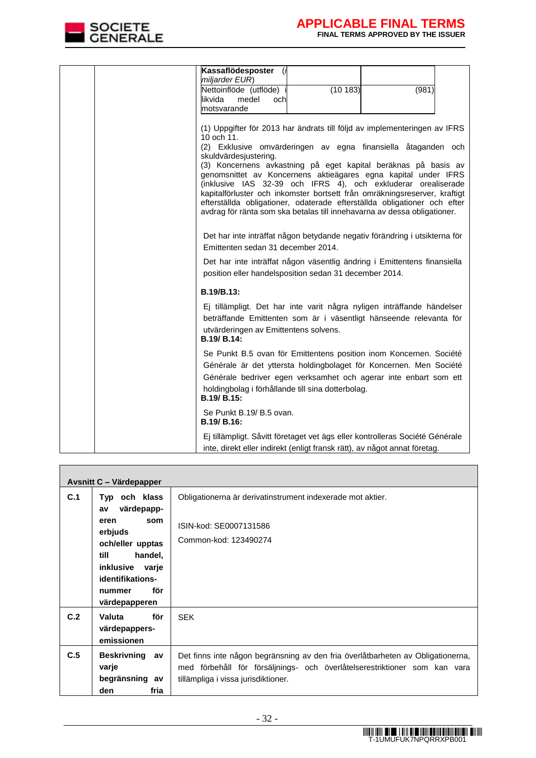

 $\mathbf{r}$ 

|  | Kassaflödesposter (A<br>miljarder EUR)                                    |         |                                                                                                                                                                                                                                                                                                    |
|--|---------------------------------------------------------------------------|---------|----------------------------------------------------------------------------------------------------------------------------------------------------------------------------------------------------------------------------------------------------------------------------------------------------|
|  | Nettoinflöde (utflöde) i                                                  | (10183) | (981)                                                                                                                                                                                                                                                                                              |
|  | likvida<br>medel<br>och                                                   |         |                                                                                                                                                                                                                                                                                                    |
|  | motsvarande                                                               |         |                                                                                                                                                                                                                                                                                                    |
|  | 10 och 11.                                                                |         | (1) Uppgifter för 2013 har ändrats till följd av implementeringen av IFRS                                                                                                                                                                                                                          |
|  | skuldvärdesjustering.                                                     |         | (2) Exklusive omvärderingen av egna finansiella åtaganden och                                                                                                                                                                                                                                      |
|  |                                                                           |         | (3) Koncernens avkastning på eget kapital beräknas på basis av<br>genomsnittet av Koncernens aktieägares egna kapital under IFRS                                                                                                                                                                   |
|  |                                                                           |         | (inklusive IAS 32-39 och IFRS 4), och exkluderar orealiserade<br>kapitalförluster och inkomster bortsett från omräkningsreserver, kraftigt<br>efterställda obligationer, odaterade efterställda obligationer och efter<br>avdrag för ränta som ska betalas till innehavarna av dessa obligationer. |
|  | Emittenten sedan 31 december 2014.                                        |         | Det har inte inträffat någon betydande negativ förändring i utsikterna för                                                                                                                                                                                                                         |
|  | position eller handelsposition sedan 31 december 2014.                    |         | Det har inte inträffat någon väsentlig ändring i Emittentens finansiella                                                                                                                                                                                                                           |
|  | B.19/B.13:                                                                |         |                                                                                                                                                                                                                                                                                                    |
|  |                                                                           |         | Ej tillämpligt. Det har inte varit några nyligen inträffande händelser<br>beträffande Emittenten som är i väsentligt hänseende relevanta för                                                                                                                                                       |
|  | utvärderingen av Emittentens solvens.<br>B.19/ B.14:                      |         |                                                                                                                                                                                                                                                                                                    |
|  |                                                                           |         | Se Punkt B.5 ovan för Emittentens position inom Koncernen. Société                                                                                                                                                                                                                                 |
|  |                                                                           |         | Générale är det yttersta holdingbolaget för Koncernen. Men Société                                                                                                                                                                                                                                 |
|  |                                                                           |         | Générale bedriver egen verksamhet och agerar inte enbart som ett                                                                                                                                                                                                                                   |
|  | holdingbolag i förhållande till sina dotterbolag.<br>B.19/ B.15:          |         |                                                                                                                                                                                                                                                                                                    |
|  | Se Punkt B.19/ B.5 ovan.<br>B.19/ B.16:                                   |         |                                                                                                                                                                                                                                                                                                    |
|  |                                                                           |         | Ej tillämpligt. Såvitt företaget vet ägs eller kontrolleras Société Générale                                                                                                                                                                                                                       |
|  | inte, direkt eller indirekt (enligt fransk rätt), av något annat företag. |         |                                                                                                                                                                                                                                                                                                    |

|     | Avsnitt C – Värdepapper                                                                                                                                                        |                                                                                                                                                                                                     |
|-----|--------------------------------------------------------------------------------------------------------------------------------------------------------------------------------|-----------------------------------------------------------------------------------------------------------------------------------------------------------------------------------------------------|
| C.1 | Typ och klass<br>värdepapp-<br>av<br>eren<br>som<br>erbjuds<br>och/eller upptas<br>handel,<br>till<br>inklusive<br>varje<br>identifikations-<br>för<br>nummer<br>värdepapperen | Obligationerna är derivatinstrument indexerade mot aktier.<br>ISIN-kod: SE0007131586<br>Common-kod: 123490274                                                                                       |
| C.2 | för<br>Valuta<br>värdepappers-<br>emissionen                                                                                                                                   | <b>SEK</b>                                                                                                                                                                                          |
| C.5 | Beskrivning<br>av<br>varje<br>begränsning av<br>fria<br>den                                                                                                                    | Det finns inte någon begränsning av den fria överlåtbarheten av Obligationerna,<br>med förbehåll för försäljnings- och överlåtelserestriktioner som kan vara<br>tillämpliga i vissa jurisdiktioner. |

J.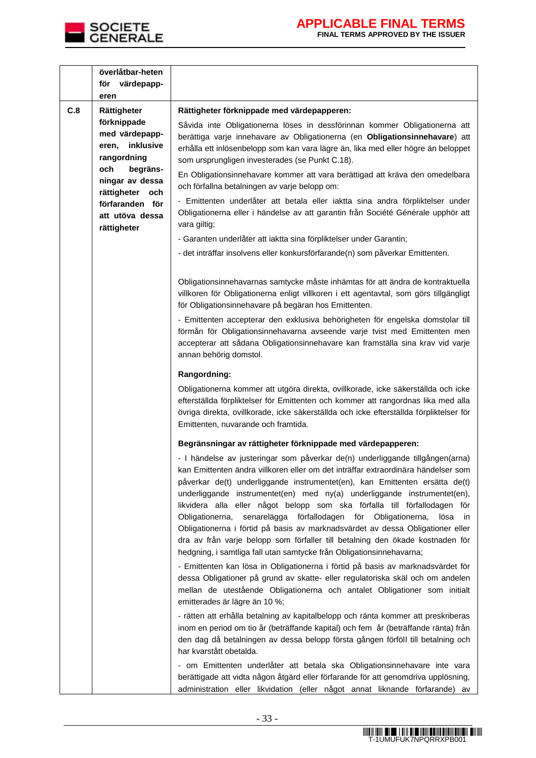

|     | överlåtbar-heten<br>för värdepapp-<br>eren                           |                                                                                                                                                                                                                                                                                                                                                                                                                                                                                                                                                                                                                                                                                                                                               |
|-----|----------------------------------------------------------------------|-----------------------------------------------------------------------------------------------------------------------------------------------------------------------------------------------------------------------------------------------------------------------------------------------------------------------------------------------------------------------------------------------------------------------------------------------------------------------------------------------------------------------------------------------------------------------------------------------------------------------------------------------------------------------------------------------------------------------------------------------|
| C.8 | Rättigheter                                                          | Rättigheter förknippade med värdepapperen:                                                                                                                                                                                                                                                                                                                                                                                                                                                                                                                                                                                                                                                                                                    |
|     | förknippade<br>med värdepapp-<br>eren, inklusive<br>rangordning      | Såvida inte Obligationerna löses in dessförinnan kommer Obligationerna att<br>berättiga varje innehavare av Obligationerna (en Obligationsinnehavare) att<br>erhålla ett inlösenbelopp som kan vara lägre än, lika med eller högre än beloppet<br>som ursprungligen investerades (se Punkt C.18).                                                                                                                                                                                                                                                                                                                                                                                                                                             |
|     | och<br>begräns-<br>ningar av dessa                                   | En Obligationsinnehavare kommer att vara berättigad att kräva den omedelbara<br>och förfallna betalningen av varje belopp om:                                                                                                                                                                                                                                                                                                                                                                                                                                                                                                                                                                                                                 |
|     | rättigheter och<br>förfaranden för<br>att utöva dessa<br>rättigheter | - Emittenten underlåter att betala eller iaktta sina andra förpliktelser under<br>Obligationerna eller i händelse av att garantin från Société Générale upphör att<br>vara giltig;<br>- Garanten underlåter att iaktta sina förpliktelser under Garantin;                                                                                                                                                                                                                                                                                                                                                                                                                                                                                     |
|     |                                                                      | - det inträffar insolvens eller konkursförfarande(n) som påverkar Emittenten.                                                                                                                                                                                                                                                                                                                                                                                                                                                                                                                                                                                                                                                                 |
|     |                                                                      | Obligationsinnehavarnas samtycke måste inhämtas för att ändra de kontraktuella<br>villkoren för Obligationerna enligt villkoren i ett agentavtal, som görs tillgängligt<br>för Obligationsinnehavare på begäran hos Emittenten.                                                                                                                                                                                                                                                                                                                                                                                                                                                                                                               |
|     |                                                                      | - Emittenten accepterar den exklusiva behörigheten för engelska domstolar till<br>förmån för Obligationsinnehavarna avseende varje tvist med Emittenten men<br>accepterar att sådana Obligationsinnehavare kan framställa sina krav vid varje<br>annan behörig domstol.                                                                                                                                                                                                                                                                                                                                                                                                                                                                       |
|     |                                                                      | Rangordning:                                                                                                                                                                                                                                                                                                                                                                                                                                                                                                                                                                                                                                                                                                                                  |
|     |                                                                      | Obligationerna kommer att utgöra direkta, ovillkorade, icke säkerställda och icke<br>efterställda förpliktelser för Emittenten och kommer att rangordnas lika med alla<br>övriga direkta, ovillkorade, icke säkerställda och icke efterställda förpliktelser för<br>Emittenten, nuvarande och framtida.                                                                                                                                                                                                                                                                                                                                                                                                                                       |
|     |                                                                      | Begränsningar av rättigheter förknippade med värdepapperen:                                                                                                                                                                                                                                                                                                                                                                                                                                                                                                                                                                                                                                                                                   |
|     |                                                                      | - I händelse av justeringar som påverkar de(n) underliggande tillgången(arna)<br>kan Emittenten ändra villkoren eller om det inträffar extraordinära händelser som<br>påverkar de(t) underliggande instrumentet(en), kan Emittenten ersätta de(t)<br>underliggande instrumentet(en) med ny(a) underliggande instrumentet(en),<br>likvidera alla eller något belopp som ska förfalla till förfallodagen för<br>senarelägga förfallodagen<br>Obligationerna,<br>för<br>Obligationerna,<br>lösa<br>in<br>Obligationerna i förtid på basis av marknadsvärdet av dessa Obligationer eller<br>dra av från varje belopp som förfaller till betalning den ökade kostnaden för<br>hedgning, i samtliga fall utan samtycke från Obligationsinnehavarna; |
|     |                                                                      | - Emittenten kan lösa in Obligationerna i förtid på basis av marknadsvärdet för<br>dessa Obligationer på grund av skatte- eller regulatoriska skäl och om andelen<br>mellan de utestående Obligationerna och antalet Obligationer som initialt<br>emitterades är lägre än 10 %;                                                                                                                                                                                                                                                                                                                                                                                                                                                               |
|     |                                                                      | - rätten att erhålla betalning av kapitalbelopp och ränta kommer att preskriberas<br>inom en period om tio år (beträffande kapital) och fem år (beträffande ränta) från<br>den dag då betalningen av dessa belopp första gången förföll till betalning och<br>har kvarstått obetalda.                                                                                                                                                                                                                                                                                                                                                                                                                                                         |
|     |                                                                      | - om Emittenten underlåter att betala ska Obligationsinnehavare inte vara<br>berättigade att vidta någon åtgärd eller förfarande för att genomdriva upplösning,<br>administration eller likvidation (eller något annat liknande förfarande) av                                                                                                                                                                                                                                                                                                                                                                                                                                                                                                |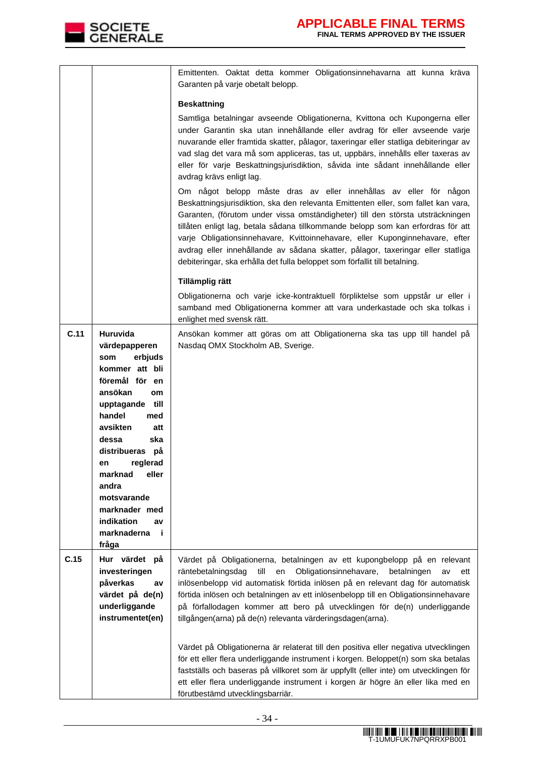

|      |                                                                                                          | Emittenten. Oaktat detta kommer Obligationsinnehavarna att kunna kräva<br>Garanten på varje obetalt belopp.                                                                                                                                                                                                                                                                                                                                                                                                                                                                    |
|------|----------------------------------------------------------------------------------------------------------|--------------------------------------------------------------------------------------------------------------------------------------------------------------------------------------------------------------------------------------------------------------------------------------------------------------------------------------------------------------------------------------------------------------------------------------------------------------------------------------------------------------------------------------------------------------------------------|
|      |                                                                                                          | <b>Beskattning</b>                                                                                                                                                                                                                                                                                                                                                                                                                                                                                                                                                             |
|      |                                                                                                          | Samtliga betalningar avseende Obligationerna, Kvittona och Kupongerna eller<br>under Garantin ska utan innehållande eller avdrag för eller avseende varje<br>nuvarande eller framtida skatter, pålagor, taxeringar eller statliga debiteringar av<br>vad slag det vara må som appliceras, tas ut, uppbärs, innehålls eller taxeras av<br>eller för varje Beskattningsjurisdiktion, såvida inte sådant innehållande eller<br>avdrag krävs enligt lag.                                                                                                                           |
|      |                                                                                                          | Om något belopp måste dras av eller innehållas av eller för någon<br>Beskattningsjurisdiktion, ska den relevanta Emittenten eller, som fallet kan vara,<br>Garanten, (förutom under vissa omständigheter) till den största utsträckningen<br>tillåten enligt lag, betala sådana tillkommande belopp som kan erfordras för att<br>varje Obligationsinnehavare, Kvittoinnehavare, eller Kuponginnehavare, efter<br>avdrag eller innehållande av sådana skatter, pålagor, taxeringar eller statliga<br>debiteringar, ska erhålla det fulla beloppet som förfallit till betalning. |
|      |                                                                                                          | Tillämplig rätt                                                                                                                                                                                                                                                                                                                                                                                                                                                                                                                                                                |
|      |                                                                                                          | Obligationerna och varje icke-kontraktuell förpliktelse som uppstår ur eller i<br>samband med Obligationerna kommer att vara underkastade och ska tolkas i<br>enlighet med svensk rätt.                                                                                                                                                                                                                                                                                                                                                                                        |
| C.11 | <b>Huruvida</b>                                                                                          | Ansökan kommer att göras om att Obligationerna ska tas upp till handel på                                                                                                                                                                                                                                                                                                                                                                                                                                                                                                      |
|      | värdepapperen                                                                                            | Nasdaq OMX Stockholm AB, Sverige.                                                                                                                                                                                                                                                                                                                                                                                                                                                                                                                                              |
|      | erbjuds<br>som<br>kommer att bli                                                                         |                                                                                                                                                                                                                                                                                                                                                                                                                                                                                                                                                                                |
|      | föremål för en                                                                                           |                                                                                                                                                                                                                                                                                                                                                                                                                                                                                                                                                                                |
|      | ansökan<br>om                                                                                            |                                                                                                                                                                                                                                                                                                                                                                                                                                                                                                                                                                                |
|      | upptagande<br>till                                                                                       |                                                                                                                                                                                                                                                                                                                                                                                                                                                                                                                                                                                |
|      | handel<br>med                                                                                            |                                                                                                                                                                                                                                                                                                                                                                                                                                                                                                                                                                                |
|      | avsikten<br>att                                                                                          |                                                                                                                                                                                                                                                                                                                                                                                                                                                                                                                                                                                |
|      | dessa<br>ska                                                                                             |                                                                                                                                                                                                                                                                                                                                                                                                                                                                                                                                                                                |
|      | distribueras<br>рå                                                                                       |                                                                                                                                                                                                                                                                                                                                                                                                                                                                                                                                                                                |
|      | reglerad<br>en<br>marknad<br>eller                                                                       |                                                                                                                                                                                                                                                                                                                                                                                                                                                                                                                                                                                |
|      | andra                                                                                                    |                                                                                                                                                                                                                                                                                                                                                                                                                                                                                                                                                                                |
|      | motsvarande                                                                                              |                                                                                                                                                                                                                                                                                                                                                                                                                                                                                                                                                                                |
|      | marknader med                                                                                            |                                                                                                                                                                                                                                                                                                                                                                                                                                                                                                                                                                                |
|      | indikation<br>av                                                                                         |                                                                                                                                                                                                                                                                                                                                                                                                                                                                                                                                                                                |
|      | marknaderna                                                                                              |                                                                                                                                                                                                                                                                                                                                                                                                                                                                                                                                                                                |
|      | fråga                                                                                                    |                                                                                                                                                                                                                                                                                                                                                                                                                                                                                                                                                                                |
| C.15 | Hur värdet på<br>investeringen<br>påverkas<br>av<br>värdet på de(n)<br>underliggande<br>instrumentet(en) | Värdet på Obligationerna, betalningen av ett kupongbelopp på en relevant<br>räntebetalningsdag<br>till<br>Obligationsinnehavare,<br>en<br>betalningen<br>ett<br>av<br>inlösenbelopp vid automatisk förtida inlösen på en relevant dag för automatisk<br>förtida inlösen och betalningen av ett inlösenbelopp till en Obligationsinnehavare<br>på förfallodagen kommer att bero på utvecklingen för de(n) underliggande<br>tillgången(arna) på de(n) relevanta värderingsdagen(arna).                                                                                           |
|      |                                                                                                          |                                                                                                                                                                                                                                                                                                                                                                                                                                                                                                                                                                                |
|      |                                                                                                          | Värdet på Obligationerna är relaterat till den positiva eller negativa utvecklingen<br>för ett eller flera underliggande instrument i korgen. Beloppet(n) som ska betalas<br>fastställs och baseras på villkoret som är uppfyllt (eller inte) om utvecklingen för<br>ett eller flera underliggande instrument i korgen är högre än eller lika med en<br>förutbestämd utvecklingsbarriär.                                                                                                                                                                                       |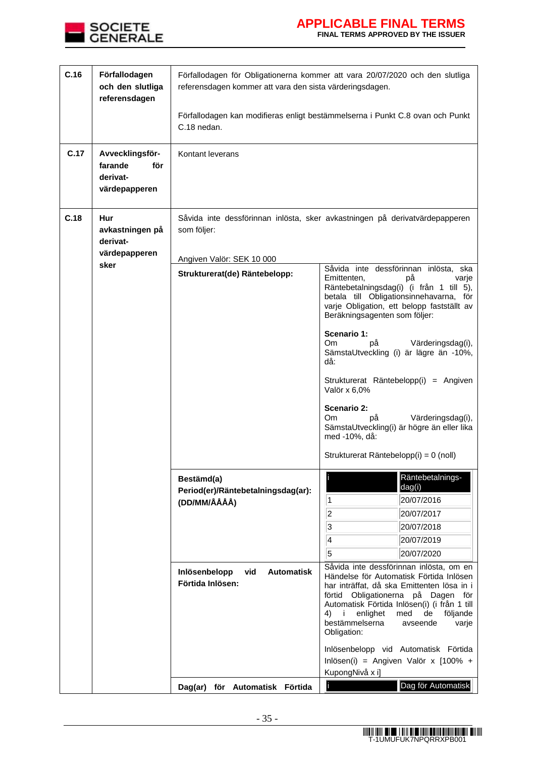

| C.16<br>Förfallodagen<br>och den slutliga<br>referensdagen             |                                                                  | Förfallodagen för Obligationerna kommer att vara 20/07/2020 och den slutliga<br>referensdagen kommer att vara den sista värderingsdagen.                                                                                                                                                                                                                                             |  |
|------------------------------------------------------------------------|------------------------------------------------------------------|--------------------------------------------------------------------------------------------------------------------------------------------------------------------------------------------------------------------------------------------------------------------------------------------------------------------------------------------------------------------------------------|--|
|                                                                        | C.18 nedan.                                                      | Förfallodagen kan modifieras enligt bestämmelserna i Punkt C.8 ovan och Punkt                                                                                                                                                                                                                                                                                                        |  |
| C.17<br>Avvecklingsför-<br>farande<br>för<br>derivat-<br>värdepapperen | Kontant leverans                                                 |                                                                                                                                                                                                                                                                                                                                                                                      |  |
| C.18<br>Hur<br>avkastningen på<br>derivat-<br>värdepapperen            | som följer:<br>Angiven Valör: SEK 10 000                         | Såvida inte dessförinnan inlösta, sker avkastningen på derivatvärdepapperen                                                                                                                                                                                                                                                                                                          |  |
| sker                                                                   | Strukturerat(de) Räntebelopp:                                    | Såvida inte dessförinnan inlösta, ska<br>Emittenten,<br>рå<br>varje<br>Räntebetalningsdag(i) (i från 1 till 5),<br>betala till Obligationsinnehavarna, för<br>varje Obligation, ett belopp fastställt av<br>Beräkningsagenten som följer:<br>Scenario 1:<br>рå<br>Värderingsdag(i),<br>Om.<br>SämstaUtveckling (i) är lägre än -10%,<br>då:<br>Strukturerat Räntebelopp(i) = Angiven |  |
|                                                                        |                                                                  | Valör x 6,0%<br>Scenario 2:<br>Om.<br>Värderingsdag(i),<br>рå<br>SämstaUtveckling(i) är högre än eller lika<br>med -10%, då:<br>Strukturerat Räntebelopp(i) = 0 (noll)                                                                                                                                                                                                               |  |
|                                                                        | Bestämd(a)<br>Period(er)/Räntebetalningsdag(ar):<br>(DD/MM/ÅÅÅÅ) | Räntebetalnings-<br>dag(i)<br>$\vert$<br>20/07/2016<br>$\overline{\mathbf{2}}$<br>20/07/2017<br>3<br>20/07/2018<br>$\overline{4}$<br>20/07/2019<br>5<br>20/07/2020                                                                                                                                                                                                                   |  |
|                                                                        | <b>Automatisk</b><br>Inlösenbelopp<br>vid<br>Förtida Inlösen:    | Såvida inte dessförinnan inlösta, om en<br>Händelse för Automatisk Förtida Inlösen<br>har inträffat, då ska Emittenten lösa in i<br>förtid Obligationerna på Dagen för<br>Automatisk Förtida Inlösen(i) (i från 1 till<br>enlighet<br>med<br>de<br>följande<br>4)<br>bestämmelserna<br>avseende<br>varje<br>Obligation:                                                              |  |
|                                                                        | Dag(ar) för Automatisk Förtida                                   | Inlösenbelopp vid Automatisk Förtida<br>Inlösen(i) = Angiven Valör x $[100\% +$<br>KupongNivå x i]<br>Dag för Automatisk                                                                                                                                                                                                                                                             |  |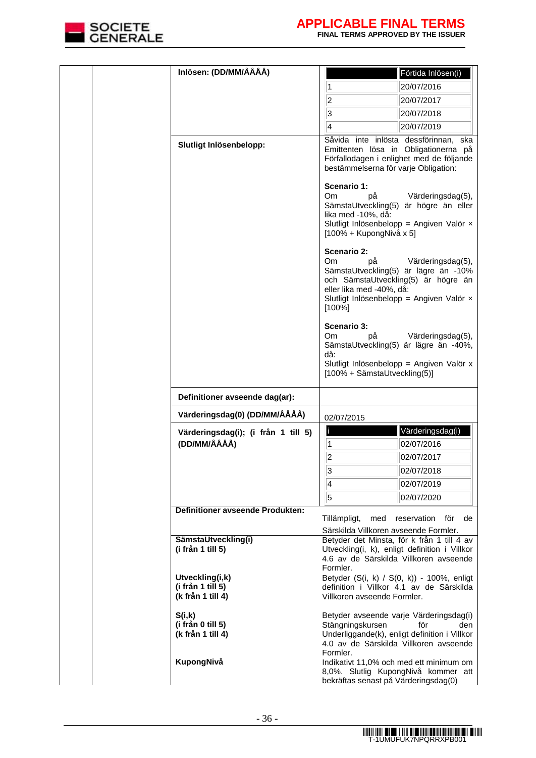

# **APPLICABLE FINAL TERMS**

|  | Inlösen: (DD/MM/ÅÅÅÅ)                                     | Förtida Inlösen(i)                                                                                                                                                                                                |
|--|-----------------------------------------------------------|-------------------------------------------------------------------------------------------------------------------------------------------------------------------------------------------------------------------|
|  |                                                           | 20/07/2016<br>1                                                                                                                                                                                                   |
|  |                                                           | 2<br>20/07/2017                                                                                                                                                                                                   |
|  |                                                           | 3<br>20/07/2018                                                                                                                                                                                                   |
|  |                                                           | $\overline{4}$<br>20/07/2019                                                                                                                                                                                      |
|  |                                                           | Såvida inte inlösta dessförinnan, ska                                                                                                                                                                             |
|  | Slutligt Inlösenbelopp:                                   | Emittenten lösa in Obligationerna på<br>Förfallodagen i enlighet med de följande<br>bestämmelserna för varje Obligation:                                                                                          |
|  |                                                           | Scenario 1:<br>Om<br>Värderingsdag(5),<br>рå<br>SämstaUtveckling(5) är högre än eller<br>lika med -10%, då:<br>Slutligt Inlösenbelopp = Angiven Valör x<br>[100% + KupongNivå x 5]                                |
|  |                                                           | Scenario 2:<br>Om.<br>Värderingsdag(5),<br>рă<br>SämstaUtveckling(5) är lägre än -10%<br>och SämstaUtveckling(5) är högre än<br>eller lika med -40%, då:<br>Slutligt Inlösenbelopp = Angiven Valör x<br>$[100\%]$ |
|  |                                                           | Scenario 3:<br>Om.<br>Värderingsdag(5),<br>рå<br>SämstaUtveckling(5) är lägre än -40%,<br>då:<br>Slutligt Inlösenbelopp = Angiven Valör x<br>[100% + SämstaUtveckling(5)]                                         |
|  | Definitioner avseende dag(ar):                            |                                                                                                                                                                                                                   |
|  | Värderingsdag(0) (DD/MM/ÅÅÅÅ)                             | 02/07/2015                                                                                                                                                                                                        |
|  | Värderingsdag(i); (i från 1 till 5)                       | Värderingsdag(i)                                                                                                                                                                                                  |
|  | (DD/MM/ÅÅÅÅ)                                              | 1<br>02/07/2016                                                                                                                                                                                                   |
|  |                                                           | $\overline{2}$<br>02/07/2017                                                                                                                                                                                      |
|  |                                                           | 3<br>02/07/2018                                                                                                                                                                                                   |
|  |                                                           | 4<br>02/07/2019                                                                                                                                                                                                   |
|  |                                                           | 5<br>02/07/2020                                                                                                                                                                                                   |
|  | Definitioner avseende Produkten:                          |                                                                                                                                                                                                                   |
|  |                                                           | Tillämpligt,<br>med<br>reservation<br>för<br>de                                                                                                                                                                   |
|  |                                                           | Särskilda Villkoren avseende Formler.                                                                                                                                                                             |
|  | SämstaUtveckling(i)<br>(i från 1 till 5)                  | Betyder det Minsta, för k från 1 till 4 av<br>Utveckling(i, k), enligt definition i Villkor<br>4.6 av de Särskilda Villkoren avseende<br>Formler.                                                                 |
|  | Utveckling(i,k)<br>(i från 1 till 5)<br>(k från 1 till 4) | Betyder (S(i, k) / S(0, k)) - 100%, enligt<br>definition i Villkor 4.1 av de Särskilda<br>Villkoren avseende Formler.                                                                                             |
|  | S(i,k)<br>(i från 0 till 5)<br>(k från 1 till 4)          | Betyder avseende varje Värderingsdag(i)<br>Stängningskursen<br>för<br>den<br>Underliggande(k), enligt definition i Villkor<br>4.0 av de Särskilda Villkoren avseende<br>Formler.                                  |
|  | KupongNivå                                                | Indikativt 11,0% och med ett minimum om<br>8,0%. Slutlig KupongNivå kommer att<br>bekräftas senast på Värderingsdag(0)                                                                                            |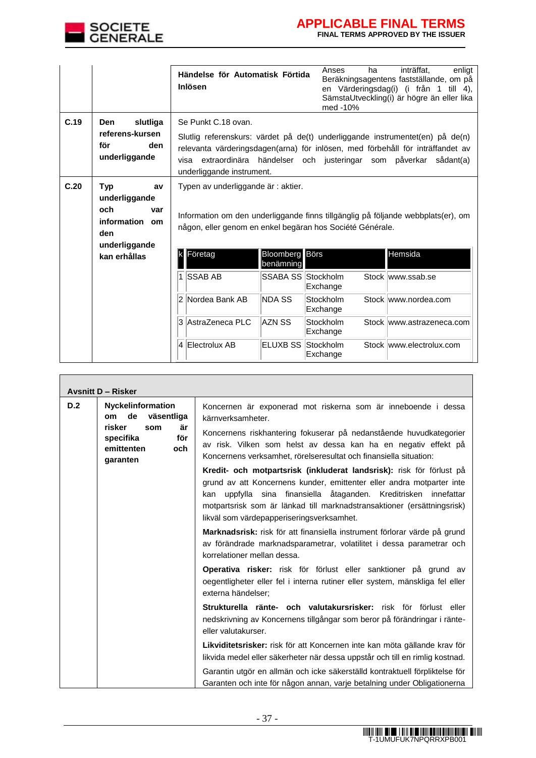

|      |                                                                                                           | Händelse för Automatisk Förtida<br>Inlösen                                                       |                                    | Anses<br>ha<br>med -10% | inträffat,<br>enligt<br>Beräkningsagentens fastställande, om på<br>en Värderingsdag(i) (i från 1 till 4),<br>SämstaUtveckling(i) är högre än eller lika                                                                                |
|------|-----------------------------------------------------------------------------------------------------------|--------------------------------------------------------------------------------------------------|------------------------------------|-------------------------|----------------------------------------------------------------------------------------------------------------------------------------------------------------------------------------------------------------------------------------|
| C.19 | slutliga<br><b>Den</b><br>referens-kursen<br>för<br>den<br>underliggande                                  | Se Punkt C.18 ovan.<br>underliggande instrument.                                                 |                                    |                         | Slutlig referenskurs: värdet på de(t) underliggande instrumentet(en) på de(n)<br>relevanta värderingsdagen(arna) för inlösen, med förbehåll för inträffandet av<br>visa extraordinära händelser och justeringar som påverkar sådant(a) |
| C.20 | <b>Typ</b><br>av<br>underliggande<br>och<br>var<br>information om<br>den<br>underliggande<br>kan erhållas | Typen av underliggande är : aktier.<br>någon, eller genom en enkel begäran hos Société Générale. |                                    |                         | Information om den underliggande finns tillgänglig på följande webbplats(er), om                                                                                                                                                       |
|      |                                                                                                           | Företag                                                                                          | <b>Bloomberg</b> Börs<br>benämning |                         | Hemsida                                                                                                                                                                                                                                |
|      |                                                                                                           | 1 SSAB AB                                                                                        | SSABA SS Stockholm                 | Exchange                | Stock www.ssab.se                                                                                                                                                                                                                      |
|      |                                                                                                           | Nordea Bank AB<br>2                                                                              | <b>NDA SS</b>                      | Stockholm<br>Exchange   | Stock www.nordea.com                                                                                                                                                                                                                   |
|      |                                                                                                           | 3 AstraZeneca PLC                                                                                | <b>AZN SS</b>                      | Stockholm<br>Exchange   | Stock www.astrazeneca.com                                                                                                                                                                                                              |
|      |                                                                                                           | $\overline{4}$<br>Electrolux AB                                                                  | ELUXB SS                           | Stockholm<br>Exchange   | Stock www.electrolux.com                                                                                                                                                                                                               |

|     | <b>Avsnitt D - Risker</b>                                                                                                             |                                                                                                                                                                                                                                                                                                                                           |
|-----|---------------------------------------------------------------------------------------------------------------------------------------|-------------------------------------------------------------------------------------------------------------------------------------------------------------------------------------------------------------------------------------------------------------------------------------------------------------------------------------------|
| D.2 | <b>Nyckelinformation</b><br>väsentliga<br>de<br><b>om</b><br>risker<br>är<br>som<br>för<br>specifika<br>emittenten<br>och<br>garanten | Koncernen är exponerad mot riskerna som är inneboende i dessa<br>kärnverksamheter.<br>Koncernens riskhantering fokuserar på nedanstående huvudkategorier<br>av risk. Vilken som helst av dessa kan ha en negativ effekt på<br>Koncernens verksamhet, rörelseresultat och finansiella situation:                                           |
|     |                                                                                                                                       | Kredit- och motpartsrisk (inkluderat landsrisk): risk för förlust på<br>grund av att Koncernens kunder, emittenter eller andra motparter inte<br>kan uppfylla sina finansiella åtaganden. Kreditrisken innefattar<br>motpartsrisk som är länkad till marknadstransaktioner (ersättningsrisk)<br>likväl som värdepapperiseringsverksamhet. |
|     |                                                                                                                                       | Marknadsrisk: risk för att finansiella instrument förlorar värde på grund<br>av förändrade marknadsparametrar, volatilitet i dessa parametrar och<br>korrelationer mellan dessa.                                                                                                                                                          |
|     |                                                                                                                                       | Operativa risker: risk för förlust eller sanktioner på grund av<br>oegentligheter eller fel i interna rutiner eller system, mänskliga fel eller<br>externa händelser;                                                                                                                                                                     |
|     |                                                                                                                                       | Strukturella ränte- och valutakursrisker: risk för förlust eller<br>nedskrivning av Koncernens tillgångar som beror på förändringar i ränte-<br>eller valutakurser.                                                                                                                                                                       |
|     |                                                                                                                                       | Likviditetsrisker: risk för att Koncernen inte kan möta gällande krav för<br>likvida medel eller säkerheter när dessa uppstår och till en rimlig kostnad.                                                                                                                                                                                 |
|     |                                                                                                                                       | Garantin utgör en allmän och icke säkerställd kontraktuell förpliktelse för<br>Garanten och inte för någon annan, varje betalning under Obligationerna                                                                                                                                                                                    |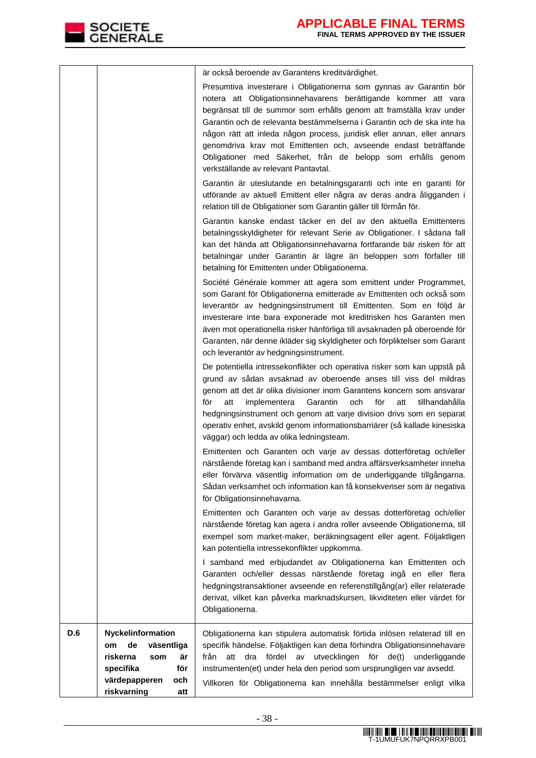|     |                                                                                                                                        | är också beroende av Garantens kreditvärdighet.                                                                                                                                                                                                                                                                                                                                                                                                                                                                                              |
|-----|----------------------------------------------------------------------------------------------------------------------------------------|----------------------------------------------------------------------------------------------------------------------------------------------------------------------------------------------------------------------------------------------------------------------------------------------------------------------------------------------------------------------------------------------------------------------------------------------------------------------------------------------------------------------------------------------|
|     |                                                                                                                                        | Presumtiva investerare i Obligationerna som gynnas av Garantin bör<br>notera att Obligationsinnehavarens berättigande kommer att vara<br>begränsat till de summor som erhålls genom att framställa krav under<br>Garantin och de relevanta bestämmelserna i Garantin och de ska inte ha<br>någon rätt att inleda någon process, juridisk eller annan, eller annars<br>genomdriva krav mot Emittenten och, avseende endast beträffande<br>Obligationer med Säkerhet, från de belopp som erhålls genom<br>verkställande av relevant Pantavtal. |
|     |                                                                                                                                        | Garantin är uteslutande en betalningsgaranti och inte en garanti för<br>utförande av aktuell Emittent eller några av deras andra åligganden i<br>relation till de Obligationer som Garantin gäller till förmån för.                                                                                                                                                                                                                                                                                                                          |
|     |                                                                                                                                        | Garantin kanske endast täcker en del av den aktuella Emittentens<br>betalningsskyldigheter för relevant Serie av Obligationer. I sådana fall<br>kan det hända att Obligationsinnehavarna fortfarande bär risken för att<br>betalningar under Garantin är lägre än beloppen som förfaller till<br>betalning för Emittenten under Obligationerna.                                                                                                                                                                                              |
|     |                                                                                                                                        | Société Générale kommer att agera som emittent under Programmet,<br>som Garant för Obligationerna emitterade av Emittenten och också som<br>leverantör av hedgningsinstrument till Emittenten. Som en följd är<br>investerare inte bara exponerade mot kreditrisken hos Garanten men<br>även mot operationella risker hänförliga till avsaknaden på oberoende för<br>Garanten, när denne ikläder sig skyldigheter och förpliktelser som Garant<br>och leverantör av hedgningsinstrument.                                                     |
|     |                                                                                                                                        | De potentiella intressekonflikter och operativa risker som kan uppstå på<br>grund av sådan avsaknad av oberoende anses till viss del mildras<br>genom att det är olika divisioner inom Garantens koncern som ansvarar<br>för<br>för<br>att<br>implementera<br>Garantin<br>och<br>tillhandahålla<br>att<br>hedgningsinstrument och genom att varje division drivs som en separat<br>operativ enhet, avskild genom informationsbarriärer (så kallade kinesiska<br>väggar) och ledda av olika ledningsteam.                                     |
|     |                                                                                                                                        | Emittenten och Garanten och varje av dessas dotterföretag och/eller<br>närstående företag kan i samband med andra affärsverksamheter inneha<br>eller förvärva väsentlig information om de underliggande tillgångarna.<br>Sådan verksamhet och information kan få konsekvenser som är negativa<br>för Obligationsinnehavarna.                                                                                                                                                                                                                 |
|     |                                                                                                                                        | Emittenten och Garanten och varje av dessas dotterföretag och/eller<br>närstående företag kan agera i andra roller avseende Obligationerna, till<br>exempel som market-maker, beräkningsagent eller agent. Följaktligen<br>kan potentiella intressekonflikter uppkomma.                                                                                                                                                                                                                                                                      |
|     |                                                                                                                                        | I samband med erbjudandet av Obligationerna kan Emittenten och<br>Garanten och/eller dessas närstående företag ingå en eller flera<br>hedgningstransaktioner avseende en referenstillgång(ar) eller relaterade<br>derivat, vilket kan påverka marknadskursen, likviditeten eller värdet för<br>Obligationerna.                                                                                                                                                                                                                               |
| D.6 | Nyckelinformation<br>de<br>väsentliga<br>om<br>riskerna<br>är<br>som<br>för<br>specifika<br>värdepapperen<br>och<br>riskvarning<br>att | Obligationerna kan stipulera automatisk förtida inlösen relaterad till en<br>specifik händelse. Följaktligen kan detta förhindra Obligationsinnehavare<br>från<br>dra fördel av<br>utvecklingen för de(t)<br>att<br>underliggande<br>instrumenten(et) under hela den period som ursprungligen var avsedd.<br>Villkoren för Obligationerna kan innehålla bestämmelser enligt vilka                                                                                                                                                            |
|     |                                                                                                                                        |                                                                                                                                                                                                                                                                                                                                                                                                                                                                                                                                              |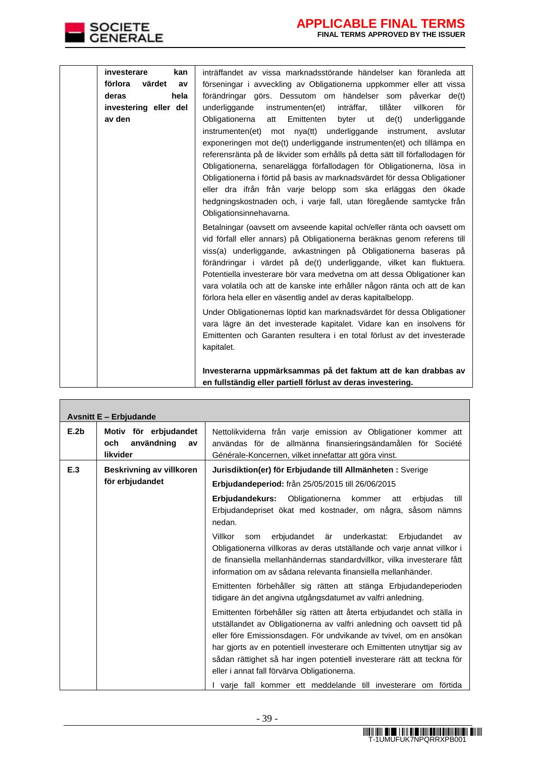

| investerare<br>kan      | inträffandet av vissa marknadsstörande händelser kan föranleda att              |
|-------------------------|---------------------------------------------------------------------------------|
| förlora<br>värdet<br>av | förseningar i avveckling av Obligationerna uppkommer eller att vissa            |
| hela<br>deras           | förändringar görs. Dessutom om händelser som påverkar de(t)                     |
| investering eller del   | inträffar,<br>underliggande<br>instrumenten(et)<br>tillåter<br>villkoren<br>för |
| av den                  | Obligationerna<br>Emittenten<br>att<br>byter<br>ut<br>de(t)<br>underliggande    |
|                         | mot nya(tt) underliggande instrument, avslutar<br>instrumenten(et)              |
|                         | exponeringen mot de(t) underliggande instrumenten(et) och tillämpa en           |
|                         | referensränta på de likvider som erhålls på detta sätt till förfallodagen för   |
|                         | Obligationerna, senarelägga förfallodagen för Obligationerna, lösa in           |
|                         | Obligationerna i förtid på basis av marknadsvärdet för dessa Obligationer       |
|                         | eller dra ifrån från varje belopp som ska erläggas den ökade                    |
|                         | hedgningskostnaden och, i varje fall, utan föregående samtycke från             |
|                         | Obligationsinnehavarna.                                                         |
|                         | Betalningar (oavsett om avseende kapital och/eller ränta och oavsett om         |
|                         | vid förfall eller annars) på Obligationerna beräknas genom referens till        |
|                         | viss(a) underliggande, avkastningen på Obligationerna baseras på                |
|                         | förändringar i värdet på de(t) underliggande, vilket kan fluktuera.             |
|                         | Potentiella investerare bör vara medvetna om att dessa Obligationer kan         |
|                         | vara volatila och att de kanske inte erhåller någon ränta och att de kan        |
|                         | förlora hela eller en väsentlig andel av deras kapitalbelopp.                   |
|                         | Under Obligationernas löptid kan marknadsvärdet för dessa Obligationer          |
|                         | vara lägre än det investerade kapitalet. Vidare kan en insolvens för            |
|                         | Emittenten och Garanten resultera i en total förlust av det investerade         |
|                         | kapitalet.                                                                      |
|                         |                                                                                 |
|                         | Investerarna uppmärksammas på det faktum att de kan drabbas av                  |
|                         | en fullständig eller partiell förlust av deras investering.                     |

|      | <b>Avsnitt E - Erbjudande</b>                                |                                                                                                                                                                                                                                                                                                                                                                                                                                                                                            |
|------|--------------------------------------------------------------|--------------------------------------------------------------------------------------------------------------------------------------------------------------------------------------------------------------------------------------------------------------------------------------------------------------------------------------------------------------------------------------------------------------------------------------------------------------------------------------------|
| E.2b | Motiv för erbjudandet<br>användning<br>och<br>av<br>likvider | Nettolikviderna från varje emission av Obligationer kommer att<br>användas för de allmänna finansieringsändamålen för Société<br>Générale-Koncernen, vilket innefattar att göra vinst.                                                                                                                                                                                                                                                                                                     |
| E.3  | Beskrivning av villkoren                                     | Jurisdiktion(er) för Erbjudande till Allmänheten : Sverige                                                                                                                                                                                                                                                                                                                                                                                                                                 |
|      | för erbjudandet                                              | Erbjudandeperiod: från 25/05/2015 till 26/06/2015                                                                                                                                                                                                                                                                                                                                                                                                                                          |
|      |                                                              | Erbjudandekurs: Obligationerna kommer<br>att<br>erbjudas<br>till<br>Erbjudandepriset ökat med kostnader, om några, såsom nämns<br>nedan.                                                                                                                                                                                                                                                                                                                                                   |
|      |                                                              | erbjudandet är underkastat:<br>Villkor<br>Erbjudandet<br>som<br>av<br>Obligationerna villkoras av deras utställande och varje annat villkor i<br>de finansiella mellanhändernas standardvillkor, vilka investerare fått<br>information om av sådana relevanta finansiella mellanhänder.                                                                                                                                                                                                    |
|      |                                                              | Emittenten förbehåller sig rätten att stänga Erbjudandeperioden<br>tidigare än det angivna utgångsdatumet av valfri anledning.                                                                                                                                                                                                                                                                                                                                                             |
|      |                                                              | Emittenten förbehåller sig rätten att återta erbjudandet och ställa in<br>utställandet av Obligationerna av valfri anledning och oavsett tid på<br>eller före Emissionsdagen. För undvikande av tvivel, om en ansökan<br>har gjorts av en potentiell investerare och Emittenten utnyttjar sig av<br>sådan rättighet så har ingen potentiell investerare rätt att teckna för<br>eller i annat fall förvärva Obligationerna.<br>varje fall kommer ett meddelande till investerare om förtida |